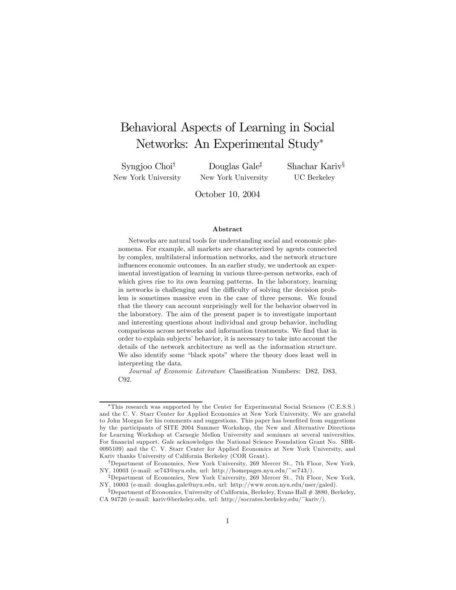# Behavioral Aspects of Learning in Social Networks: An Experimental Study<sup>∗</sup>

Syngjoo Choi† New York University

Douglas Gale‡ New York University Shachar Kariv§ UC Berkeley

October 10, 2004

#### Abstract

Networks are natural tools for understanding social and economic phenomena. For example, all markets are characterized by agents connected by complex, multilateral information networks, and the network structure influences economic outcomes. In an earlier study, we undertook an experimental investigation of learning in various three-person networks, each of which gives rise to its own learning patterns. In the laboratory, learning in networks is challenging and the difficulty of solving the decision problem is sometimes massive even in the case of three persons. We found that the theory can account surprisingly well for the behavior observed in the laboratory. The aim of the present paper is to investigate important and interesting questions about individual and group behavior, including comparisons across networks and information treatments. We find that in order to explain subjects' behavior, it is necessary to take into account the details of the network architecture as well as the information structure. We also identify some "black spots" where the theory does least well in interpreting the data.

Journal of Economic Literature Classification Numbers: D82, D83, C92.

<sup>∗</sup>This research was supported by the Center for Experimental Social Sciences (C.E.S.S.) and the C. V. Starr Center for Applied Economics at New York University. We are grateful to John Morgan for his comments and suggestions. This paper has benefited from suggestions by the participants of SITE 2004 Summer Workshop, the New and Alternative Directions for Learning Workshop at Carnegie Mellon University and seminars at several universities. For financial support, Gale acknowledges the National Science Foundation Grant No. SBR-0095109) and the C. V. Starr Center for Applied Economics at New York University, and Kariv thanks University of California Berkeley (COR Grant).

<sup>†</sup>Department of Economics, New York University, 269 Mercer St., 7th Floor, New York, NY, 10003 (e-mail: sc743@nyu.edu, url: http://homepages.nyu.edu/~sc743/).

<sup>‡</sup>Department of Economics, New York University, 269 Mercer St., 7th Floor, New York, NY, 10003 (e-mail: douglas.gale@nyu.edu, url: http://www.econ.nyu.edu/user/galed).

 $\S$ Department of Economics, University of California, Berkeley, Evans Hall  $\#$  3880, Berkeley, CA 94720 (e-mail: kariv@berkeley.edu, url: http://socrates.berkeley.edu/~kariv/).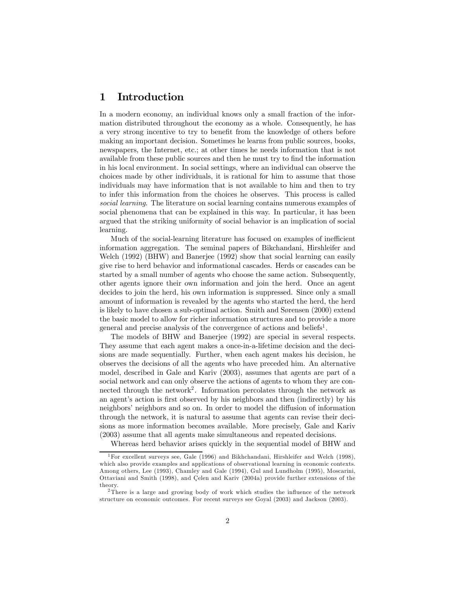# 1 Introduction

In a modern economy, an individual knows only a small fraction of the information distributed throughout the economy as a whole. Consequently, he has a very strong incentive to try to benefit from the knowledge of others before making an important decision. Sometimes he learns from public sources, books, newspapers, the Internet, etc.; at other times he needs information that is not available from these public sources and then he must try to find the information in his local environment. In social settings, where an individual can observe the choices made by other individuals, it is rational for him to assume that those individuals may have information that is not available to him and then to try to infer this information from the choices he observes. This process is called social learning. The literature on social learning contains numerous examples of social phenomena that can be explained in this way. In particular, it has been argued that the striking uniformity of social behavior is an implication of social learning.

Much of the social-learning literature has focused on examples of inefficient information aggregation. The seminal papers of Bikchandani, Hirshleifer and Welch (1992) (BHW) and Banerjee (1992) show that social learning can easily give rise to herd behavior and informational cascades. Herds or cascades can be started by a small number of agents who choose the same action. Subsequently, other agents ignore their own information and join the herd. Once an agent decides to join the herd, his own information is suppressed. Since only a small amount of information is revealed by the agents who started the herd, the herd is likely to have chosen a sub-optimal action. Smith and Sørensen (2000) extend the basic model to allow for richer information structures and to provide a more general and precise analysis of the convergence of actions and beliefs<sup>1</sup>.

The models of BHW and Banerjee (1992) are special in several respects. They assume that each agent makes a once-in-a-lifetime decision and the decisions are made sequentially. Further, when each agent makes his decision, he observes the decisions of all the agents who have preceded him. An alternative model, described in Gale and Kariv (2003), assumes that agents are part of a social network and can only observe the actions of agents to whom they are connected through the network<sup>2</sup>. Information percolates through the network as an agent's action is first observed by his neighbors and then (indirectly) by his neighbors' neighbors and so on. In order to model the diffusion of information through the network, it is natural to assume that agents can revise their decisions as more information becomes available. More precisely, Gale and Kariv (2003) assume that all agents make simultaneous and repeated decisions.

Whereas herd behavior arises quickly in the sequential model of BHW and

<sup>1</sup>For excellent surveys see, Gale (1996) and Bikhchandani, Hirshleifer and Welch (1998), which also provide examples and applications of observational learning in economic contexts. Among others, Lee (1993), Chamley and Gale (1994), Gul and Lundholm (1995), Moscarini, Ottaviani and Smith (1998), and Çelen and Kariv (2004a) provide further extensions of the theory.

<sup>&</sup>lt;sup>2</sup>There is a large and growing body of work which studies the influence of the network structure on economic outcomes. For recent surveys see Goyal (2003) and Jackson (2003).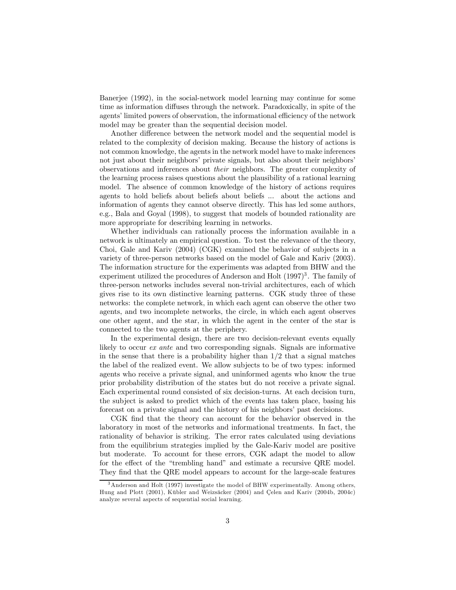Banerjee (1992), in the social-network model learning may continue for some time as information diffuses through the network. Paradoxically, in spite of the agents' limited powers of observation, the informational efficiency of the network model may be greater than the sequential decision model.

Another difference between the network model and the sequential model is related to the complexity of decision making. Because the history of actions is not common knowledge, the agents in the network model have to make inferences not just about their neighbors' private signals, but also about their neighbors' observations and inferences about their neighbors. The greater complexity of the learning process raises questions about the plausibility of a rational learning model. The absence of common knowledge of the history of actions requires agents to hold beliefs about beliefs about beliefs ... about the actions and information of agents they cannot observe directly. This has led some authors, e.g., Bala and Goyal (1998), to suggest that models of bounded rationality are more appropriate for describing learning in networks.

Whether individuals can rationally process the information available in a network is ultimately an empirical question. To test the relevance of the theory, Choi, Gale and Kariv (2004) (CGK) examined the behavior of subjects in a variety of three-person networks based on the model of Gale and Kariv (2003). The information structure for the experiments was adapted from BHW and the experiment utilized the procedures of Anderson and Holt  $(1997)^3$ . The family of three-person networks includes several non-trivial architectures, each of which gives rise to its own distinctive learning patterns. CGK study three of these networks: the complete network, in which each agent can observe the other two agents, and two incomplete networks, the circle, in which each agent observes one other agent, and the star, in which the agent in the center of the star is connected to the two agents at the periphery.

In the experimental design, there are two decision-relevant events equally likely to occur ex ante and two corresponding signals. Signals are informative in the sense that there is a probability higher than  $1/2$  that a signal matches the label of the realized event. We allow subjects to be of two types: informed agents who receive a private signal, and uninformed agents who know the true prior probability distribution of the states but do not receive a private signal. Each experimental round consisted of six decision-turns. At each decision turn, the subject is asked to predict which of the events has taken place, basing his forecast on a private signal and the history of his neighbors' past decisions.

CGK find that the theory can account for the behavior observed in the laboratory in most of the networks and informational treatments. In fact, the rationality of behavior is striking. The error rates calculated using deviations from the equilibrium strategies implied by the Gale-Kariv model are positive but moderate. To account for these errors, CGK adapt the model to allow for the effect of the "trembling hand" and estimate a recursive QRE model. They find that the QRE model appears to account for the large-scale features

<sup>3</sup>Anderson and Holt (1997) investigate the model of BHW experimentally. Among others, Hung and Plott (2001), Kübler and Weizsäcker (2004) and Çelen and Kariv (2004b, 2004c) analyze several aspects of sequential social learning.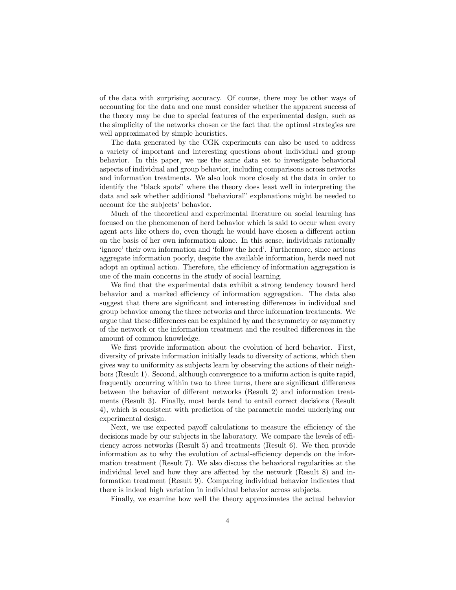of the data with surprising accuracy. Of course, there may be other ways of accounting for the data and one must consider whether the apparent success of the theory may be due to special features of the experimental design, such as the simplicity of the networks chosen or the fact that the optimal strategies are well approximated by simple heuristics.

The data generated by the CGK experiments can also be used to address a variety of important and interesting questions about individual and group behavior. In this paper, we use the same data set to investigate behavioral aspects of individual and group behavior, including comparisons across networks and information treatments. We also look more closely at the data in order to identify the "black spots" where the theory does least well in interpreting the data and ask whether additional "behavioral" explanations might be needed to account for the subjects' behavior.

Much of the theoretical and experimental literature on social learning has focused on the phenomenon of herd behavior which is said to occur when every agent acts like others do, even though he would have chosen a different action on the basis of her own information alone. In this sense, individuals rationally 'ignore' their own information and 'follow the herd'. Furthermore, since actions aggregate information poorly, despite the available information, herds need not adopt an optimal action. Therefore, the efficiency of information aggregation is one of the main concerns in the study of social learning.

We find that the experimental data exhibit a strong tendency toward herd behavior and a marked efficiency of information aggregation. The data also suggest that there are significant and interesting differences in individual and group behavior among the three networks and three information treatments. We argue that these differences can be explained by and the symmetry or asymmetry of the network or the information treatment and the resulted differences in the amount of common knowledge.

We first provide information about the evolution of herd behavior. First, diversity of private information initially leads to diversity of actions, which then gives way to uniformity as subjects learn by observing the actions of their neighbors (Result 1). Second, although convergence to a uniform action is quite rapid, frequently occurring within two to three turns, there are significant differences between the behavior of different networks (Result 2) and information treatments (Result 3). Finally, most herds tend to entail correct decisions (Result 4), which is consistent with prediction of the parametric model underlying our experimental design.

Next, we use expected payoff calculations to measure the efficiency of the decisions made by our subjects in the laboratory. We compare the levels of efficiency across networks (Result 5) and treatments (Result 6). We then provide information as to why the evolution of actual-efficiency depends on the information treatment (Result 7). We also discuss the behavioral regularities at the individual level and how they are affected by the network (Result 8) and information treatment (Result 9). Comparing individual behavior indicates that there is indeed high variation in individual behavior across subjects.

Finally, we examine how well the theory approximates the actual behavior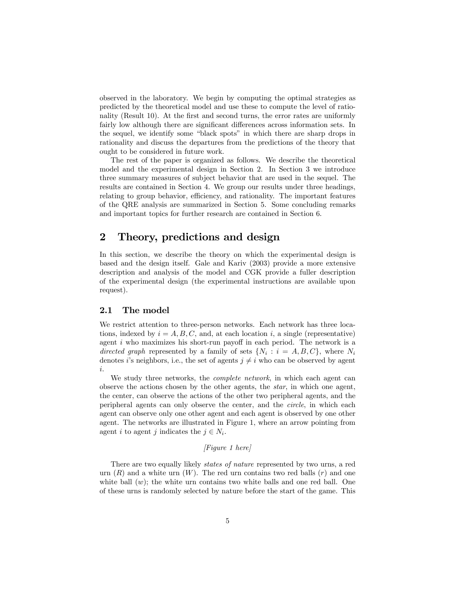observed in the laboratory. We begin by computing the optimal strategies as predicted by the theoretical model and use these to compute the level of rationality (Result 10). At the first and second turns, the error rates are uniformly fairly low although there are significant differences across information sets. In the sequel, we identify some "black spots" in which there are sharp drops in rationality and discuss the departures from the predictions of the theory that ought to be considered in future work.

The rest of the paper is organized as follows. We describe the theoretical model and the experimental design in Section 2. In Section 3 we introduce three summary measures of subject behavior that are used in the sequel. The results are contained in Section 4. We group our results under three headings, relating to group behavior, efficiency, and rationality. The important features of the QRE analysis are summarized in Section 5. Some concluding remarks and important topics for further research are contained in Section 6.

## 2 Theory, predictions and design

In this section, we describe the theory on which the experimental design is based and the design itself. Gale and Kariv (2003) provide a more extensive description and analysis of the model and CGK provide a fuller description of the experimental design (the experimental instructions are available upon request).

#### 2.1 The model

We restrict attention to three-person networks. Each network has three locations, indexed by  $i = A, B, C$ , and, at each location i, a single (representative) agent i who maximizes his short-run payoff in each period. The network is a directed graph represented by a family of sets  $\{N_i : i = A, B, C\}$ , where  $N_i$ denotes is neighbors, i.e., the set of agents  $j \neq i$  who can be observed by agent i.

We study three networks, the *complete network*, in which each agent can observe the actions chosen by the other agents, the star, in which one agent, the center, can observe the actions of the other two peripheral agents, and the peripheral agents can only observe the center, and the circle, in which each agent can observe only one other agent and each agent is observed by one other agent. The networks are illustrated in Figure 1, where an arrow pointing from agent i to agent j indicates the  $j \in N_i$ .

### [Figure 1 here]

There are two equally likely states of nature represented by two urns, a red urn  $(R)$  and a white urn  $(W)$ . The red urn contains two red balls  $(r)$  and one white ball  $(w)$ ; the white urn contains two white balls and one red ball. One of these urns is randomly selected by nature before the start of the game. This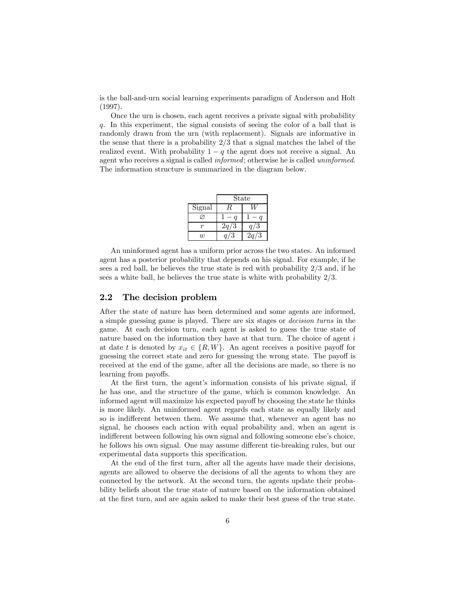is the ball-and-urn social learning experiments paradigm of Anderson and Holt (1997).

Once the urn is chosen, each agent receives a private signal with probability q. In this experiment, the signal consists of seeing the color of a ball that is randomly drawn from the urn (with replacement). Signals are informative in the sense that there is a probability 2/3 that a signal matches the label of the realized event. With probability  $1 - q$  the agent does not receive a signal. An agent who receives a signal is called informed; otherwise he is called uninformed. The information structure is summarized in the diagram below.

|        | State          |                 |  |  |  |  |  |
|--------|----------------|-----------------|--|--|--|--|--|
| Signal | R.             |                 |  |  |  |  |  |
|        |                |                 |  |  |  |  |  |
|        | 2q/3           | 3<br>$q_{\ell}$ |  |  |  |  |  |
| w      | $\overline{a}$ | 2q<br>3         |  |  |  |  |  |

An uninformed agent has a uniform prior across the two states. An informed agent has a posterior probability that depends on his signal. For example, if he sees a red ball, he believes the true state is red with probability  $2/3$  and, if he sees a white ball, he believes the true state is white with probability 2/3.

#### 2.2 The decision problem

After the state of nature has been determined and some agents are informed, a simple guessing game is played. There are six stages or decision turns in the game. At each decision turn, each agent is asked to guess the true state of nature based on the information they have at that turn. The choice of agent  $i$ at date t is denoted by  $x_{it} \in \{R, W\}$ . An agent receives a positive payoff for guessing the correct state and zero for guessing the wrong state. The payoff is received at the end of the game, after all the decisions are made, so there is no learning from payoffs.

At the first turn, the agent's information consists of his private signal, if he has one, and the structure of the game, which is common knowledge. An informed agent will maximize his expected payoff by choosing the state he thinks is more likely. An uninformed agent regards each state as equally likely and so is indifferent between them. We assume that, whenever an agent has no signal, he chooses each action with equal probability and, when an agent is indifferent between following his own signal and following someone else's choice, he follows his own signal. One may assume different tie-breaking rules, but our experimental data supports this specification.

At the end of the first turn, after all the agents have made their decisions, agents are allowed to observe the decisions of all the agents to whom they are connected by the network. At the second turn, the agents update their probability beliefs about the true state of nature based on the information obtained at the first turn, and are again asked to make their best guess of the true state.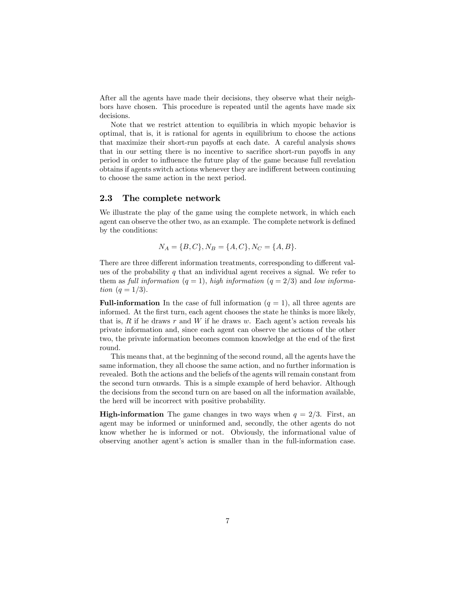After all the agents have made their decisions, they observe what their neighbors have chosen. This procedure is repeated until the agents have made six decisions.

Note that we restrict attention to equilibria in which myopic behavior is optimal, that is, it is rational for agents in equilibrium to choose the actions that maximize their short-run payoffs at each date. A careful analysis shows that in our setting there is no incentive to sacrifice short-run payoffs in any period in order to influence the future play of the game because full revelation obtains if agents switch actions whenever they are indifferent between continuing to choose the same action in the next period.

#### 2.3 The complete network

We illustrate the play of the game using the complete network, in which each agent can observe the other two, as an example. The complete network is defined by the conditions:

$$
N_A = \{B, C\}, N_B = \{A, C\}, N_C = \{A, B\}.
$$

There are three different information treatments, corresponding to different values of the probability q that an individual agent receives a signal. We refer to them as full information  $(q = 1)$ , high information  $(q = 2/3)$  and low information  $(q = 1/3)$ .

**Full-information** In the case of full information  $(q = 1)$ , all three agents are informed. At the first turn, each agent chooses the state he thinks is more likely, that is, R if he draws r and W if he draws w. Each agent's action reveals his private information and, since each agent can observe the actions of the other two, the private information becomes common knowledge at the end of the first round.

This means that, at the beginning of the second round, all the agents have the same information, they all choose the same action, and no further information is revealed. Both the actions and the beliefs of the agents will remain constant from the second turn onwards. This is a simple example of herd behavior. Although the decisions from the second turn on are based on all the information available, the herd will be incorrect with positive probability.

**High-information** The game changes in two ways when  $q = 2/3$ . First, an agent may be informed or uninformed and, secondly, the other agents do not know whether he is informed or not. Obviously, the informational value of observing another agent's action is smaller than in the full-information case.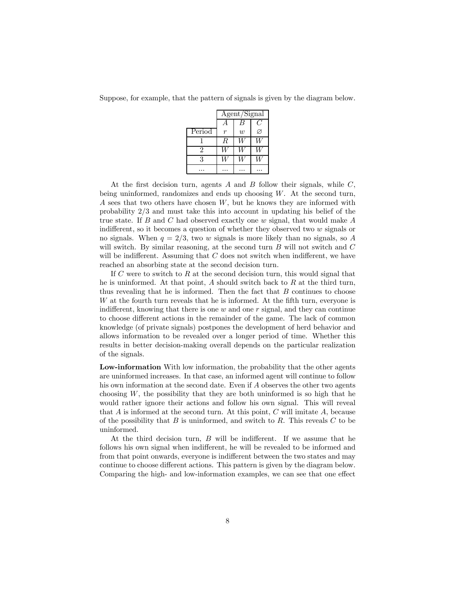Suppose, for example, that the pattern of signals is given by the diagram below.

|        |         | Agent/Signal     |   |  |  |  |  |  |  |
|--------|---------|------------------|---|--|--|--|--|--|--|
|        | B<br>٠, |                  |   |  |  |  |  |  |  |
| Period | T.      | $\boldsymbol{w}$ | Ø |  |  |  |  |  |  |
|        | R       |                  |   |  |  |  |  |  |  |
| 2      |         |                  |   |  |  |  |  |  |  |
| 3      |         |                  |   |  |  |  |  |  |  |
|        |         |                  |   |  |  |  |  |  |  |

At the first decision turn, agents  $A$  and  $B$  follow their signals, while  $C$ , being uninformed, randomizes and ends up choosing  $W$ . At the second turn, A sees that two others have chosen  $W$ , but he knows they are informed with probability 2/3 and must take this into account in updating his belief of the true state. If B and C had observed exactly one  $w$  signal, that would make  $A$ indifferent, so it becomes a question of whether they observed two w signals or no signals. When  $q = 2/3$ , two w signals is more likely than no signals, so A will switch. By similar reasoning, at the second turn  $B$  will not switch and  $C$ will be indifferent. Assuming that  $C$  does not switch when indifferent, we have reached an absorbing state at the second decision turn.

If  $C$  were to switch to  $R$  at the second decision turn, this would signal that he is uninformed. At that point,  $A$  should switch back to  $R$  at the third turn, thus revealing that he is informed. Then the fact that  $B$  continues to choose W at the fourth turn reveals that he is informed. At the fifth turn, everyone is indifferent, knowing that there is one  $w$  and one  $r$  signal, and they can continue to choose different actions in the remainder of the game. The lack of common knowledge (of private signals) postpones the development of herd behavior and allows information to be revealed over a longer period of time. Whether this results in better decision-making overall depends on the particular realization of the signals.

Low-information With low information, the probability that the other agents are uninformed increases. In that case, an informed agent will continue to follow his own information at the second date. Even if A observes the other two agents choosing  $W$ , the possibility that they are both uninformed is so high that he would rather ignore their actions and follow his own signal. This will reveal that  $A$  is informed at the second turn. At this point,  $C$  will imitate  $A$ , because of the possibility that  $B$  is uninformed, and switch to  $R$ . This reveals  $C$  to be uninformed.

At the third decision turn, B will be indifferent. If we assume that he follows his own signal when indifferent, he will be revealed to be informed and from that point onwards, everyone is indifferent between the two states and may continue to choose different actions. This pattern is given by the diagram below. Comparing the high- and low-information examples, we can see that one effect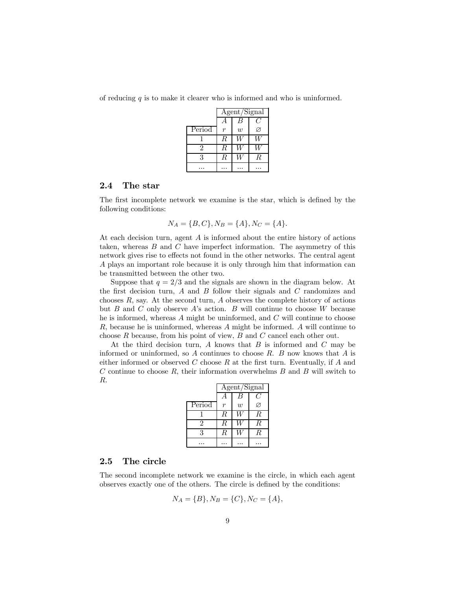of reducing  $q$  is to make it clearer who is informed and who is uninformed.

|        |              | Agent/Signal   |   |  |  |  |  |  |  |
|--------|--------------|----------------|---|--|--|--|--|--|--|
|        | B<br>А<br>٠, |                |   |  |  |  |  |  |  |
| Period |              | $\overline{w}$ | z |  |  |  |  |  |  |
|        | R            |                |   |  |  |  |  |  |  |
| 2      | R            |                |   |  |  |  |  |  |  |
| 3      | R            |                | R |  |  |  |  |  |  |
|        |              |                |   |  |  |  |  |  |  |

#### 2.4 The star

The first incomplete network we examine is the star, which is defined by the following conditions:

$$
N_A = \{B, C\}, N_B = \{A\}, N_C = \{A\}.
$$

At each decision turn, agent A is informed about the entire history of actions taken, whereas  $B$  and  $C$  have imperfect information. The asymmetry of this network gives rise to effects not found in the other networks. The central agent A plays an important role because it is only through him that information can be transmitted between the other two.

Suppose that  $q = 2/3$  and the signals are shown in the diagram below. At the first decision turn,  $A$  and  $B$  follow their signals and  $C$  randomizes and chooses  $R$ , say. At the second turn,  $A$  observes the complete history of actions but  $B$  and  $C$  only observe  $A$ 's action.  $B$  will continue to choose  $W$  because he is informed, whereas A might be uninformed, and C will continue to choose R, because he is uninformed, whereas A might be informed. A will continue to choose  $R$  because, from his point of view,  $B$  and  $C$  cancel each other out.

At the third decision turn,  $A$  knows that  $B$  is informed and  $C$  may be informed or uninformed, so A continues to choose  $R$ . B now knows that A is either informed or observed  $C$  choose  $R$  at the first turn. Eventually, if  $A$  and C continue to choose R, their information overwhelms B and B will switch to R.  $\sqrt{\text{Agent/Signal}}$ 

|        | Agent/Signal |                |   |  |  |  |  |  |
|--------|--------------|----------------|---|--|--|--|--|--|
|        | B            |                |   |  |  |  |  |  |
| Period |              | $\overline{w}$ | 2 |  |  |  |  |  |
|        | R            |                | R |  |  |  |  |  |
| 2      | R            |                | R |  |  |  |  |  |
| 3      | R            |                | R |  |  |  |  |  |
|        |              |                |   |  |  |  |  |  |

#### 2.5 The circle

The second incomplete network we examine is the circle, in which each agent observes exactly one of the others. The circle is defined by the conditions:

$$
N_A = \{B\}, N_B = \{C\}, N_C = \{A\},
$$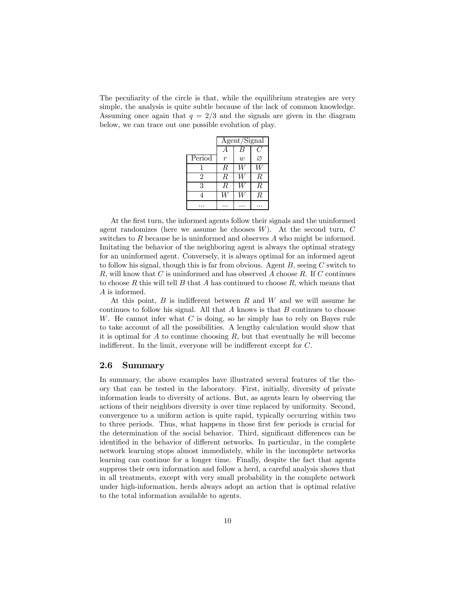The peculiarity of the circle is that, while the equilibrium strategies are very simple, the analysis is quite subtle because of the lack of common knowledge. Assuming once again that  $q = 2/3$  and the signals are given in the diagram below, we can trace out one possible evolution of play.

|        |               | Agent/Signal   |   |  |  |  |  |  |
|--------|---------------|----------------|---|--|--|--|--|--|
|        | B<br>А<br>C ' |                |   |  |  |  |  |  |
| Period | r             | $\overline{w}$ | Ø |  |  |  |  |  |
|        | R             |                |   |  |  |  |  |  |
| 2      | R             |                | R |  |  |  |  |  |
| 3      | $_{R}$        |                | R |  |  |  |  |  |
|        |               |                | R |  |  |  |  |  |
|        |               |                |   |  |  |  |  |  |

At the first turn, the informed agents follow their signals and the uninformed agent randomizes (here we assume he chooses  $W$ ). At the second turn,  $C$ switches to R because he is uninformed and observes A who might be informed. Imitating the behavior of the neighboring agent is always the optimal strategy for an uninformed agent. Conversely, it is always optimal for an informed agent to follow his signal, though this is far from obvious. Agent  $B$ , seeing  $C$  switch to  $R$ , will know that  $C$  is uninformed and has observed  $A$  choose  $R$ . If  $C$  continues to choose R this will tell B that A has continued to choose R, which means that A is informed.

At this point,  $B$  is indifferent between  $R$  and  $W$  and we will assume he continues to follow his signal. All that  $A$  knows is that  $B$  continues to choose W. He cannot infer what  $C$  is doing, so he simply has to rely on Bayes rule to take account of all the possibilities. A lengthy calculation would show that it is optimal for  $A$  to continue choosing  $R$ , but that eventually he will become indifferent. In the limit, everyone will be indifferent except for C.

#### 2.6 Summary

In summary, the above examples have illustrated several features of the theory that can be tested in the laboratory. First, initially, diversity of private information leads to diversity of actions. But, as agents learn by observing the actions of their neighbors diversity is over time replaced by uniformity. Second, convergence to a uniform action is quite rapid, typically occurring within two to three periods. Thus, what happens in those first few periods is crucial for the determination of the social behavior. Third, significant differences can be identified in the behavior of different networks. In particular, in the complete network learning stops almost immediately, while in the incomplete networks learning can continue for a longer time. Finally, despite the fact that agents suppress their own information and follow a herd, a careful analysis shows that in all treatments, except with very small probability in the complete network under high-information, herds always adopt an action that is optimal relative to the total information available to agents.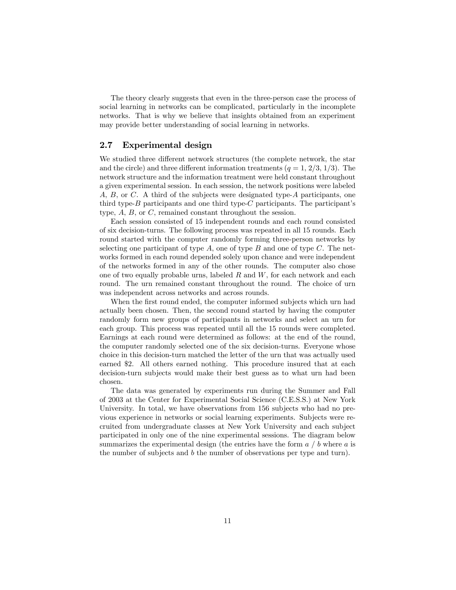The theory clearly suggests that even in the three-person case the process of social learning in networks can be complicated, particularly in the incomplete networks. That is why we believe that insights obtained from an experiment may provide better understanding of social learning in networks.

#### 2.7 Experimental design

We studied three different network structures (the complete network, the star and the circle) and three different information treatments  $(q = 1, 2/3, 1/3)$ . The network structure and the information treatment were held constant throughout a given experimental session. In each session, the network positions were labeled A, B, or C. A third of the subjects were designated type-A participants, one third type- $B$  participants and one third type- $C$  participants. The participant's type, A, B, or C, remained constant throughout the session.

Each session consisted of 15 independent rounds and each round consisted of six decision-turns. The following process was repeated in all 15 rounds. Each round started with the computer randomly forming three-person networks by selecting one participant of type  $A$ , one of type  $B$  and one of type  $C$ . The networks formed in each round depended solely upon chance and were independent of the networks formed in any of the other rounds. The computer also chose one of two equally probable urns, labeled  $R$  and  $W$ , for each network and each round. The urn remained constant throughout the round. The choice of urn was independent across networks and across rounds.

When the first round ended, the computer informed subjects which urn had actually been chosen. Then, the second round started by having the computer randomly form new groups of participants in networks and select an urn for each group. This process was repeated until all the 15 rounds were completed. Earnings at each round were determined as follows: at the end of the round, the computer randomly selected one of the six decision-turns. Everyone whose choice in this decision-turn matched the letter of the urn that was actually used earned \$2. All others earned nothing. This procedure insured that at each decision-turn subjects would make their best guess as to what urn had been chosen.

The data was generated by experiments run during the Summer and Fall of 2003 at the Center for Experimental Social Science (C.E.S.S.) at New York University. In total, we have observations from 156 subjects who had no previous experience in networks or social learning experiments. Subjects were recruited from undergraduate classes at New York University and each subject participated in only one of the nine experimental sessions. The diagram below summarizes the experimental design (the entries have the form  $a/b$  where a is the number of subjects and b the number of observations per type and turn).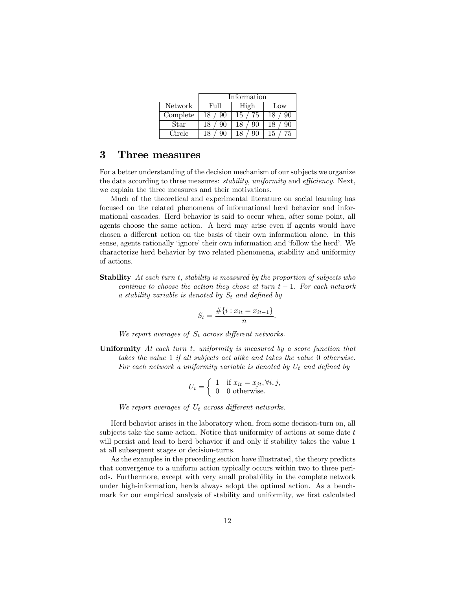|          | Information |      |     |  |  |  |  |  |
|----------|-------------|------|-----|--|--|--|--|--|
| Network  | Full        | High | Low |  |  |  |  |  |
| Complete | 90          | 75   | 90  |  |  |  |  |  |
|          | 18          | 15   | 18  |  |  |  |  |  |
| Star     | 18          | 90   | 90  |  |  |  |  |  |
|          | 90          | 18   | 18  |  |  |  |  |  |
| Circle   | 90          | 18   | 15  |  |  |  |  |  |
|          | 18          | 90   | 75  |  |  |  |  |  |

### 3 Three measures

For a better understanding of the decision mechanism of our subjects we organize the data according to three measures: stability, uniformity and efficiency. Next, we explain the three measures and their motivations.

Much of the theoretical and experimental literature on social learning has focused on the related phenomena of informational herd behavior and informational cascades. Herd behavior is said to occur when, after some point, all agents choose the same action. A herd may arise even if agents would have chosen a different action on the basis of their own information alone. In this sense, agents rationally 'ignore' their own information and 'follow the herd'. We characterize herd behavior by two related phenomena, stability and uniformity of actions.

Stability At each turn t, stability is measured by the proportion of subjects who continue to choose the action they chose at turn  $t-1$ . For each network a stability variable is denoted by  $S_t$  and defined by

$$
S_t = \frac{\#\{i : x_{it} = x_{it-1}\}}{n}.
$$

We report averages of  $S_t$  across different networks.

Uniformity At each turn t, uniformity is measured by a score function that takes the value 1 if all subjects act alike and takes the value 0 otherwise. For each network a uniformity variable is denoted by  $U_t$  and defined by

$$
U_t = \begin{cases} 1 & \text{if } x_{it} = x_{jt}, \forall i, j, \\ 0 & 0 \text{ otherwise.} \end{cases}
$$

We report averages of  $U_t$  across different networks.

Herd behavior arises in the laboratory when, from some decision-turn on, all subjects take the same action. Notice that uniformity of actions at some date t will persist and lead to herd behavior if and only if stability takes the value 1 at all subsequent stages or decision-turns.

As the examples in the preceding section have illustrated, the theory predicts that convergence to a uniform action typically occurs within two to three periods. Furthermore, except with very small probability in the complete network under high-information, herds always adopt the optimal action. As a benchmark for our empirical analysis of stability and uniformity, we first calculated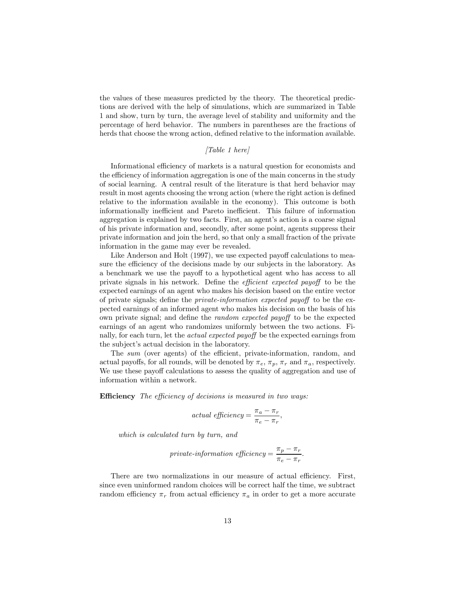the values of these measures predicted by the theory. The theoretical predictions are derived with the help of simulations, which are summarized in Table 1 and show, turn by turn, the average level of stability and uniformity and the percentage of herd behavior. The numbers in parentheses are the fractions of herds that choose the wrong action, defined relative to the information available.

#### $|Table 1 here|$

Informational efficiency of markets is a natural question for economists and the efficiency of information aggregation is one of the main concerns in the study of social learning. A central result of the literature is that herd behavior may result in most agents choosing the wrong action (where the right action is defined relative to the information available in the economy). This outcome is both informationally inefficient and Pareto inefficient. This failure of information aggregation is explained by two facts. First, an agent's action is a coarse signal of his private information and, secondly, after some point, agents suppress their private information and join the herd, so that only a small fraction of the private information in the game may ever be revealed.

Like Anderson and Holt (1997), we use expected payoff calculations to measure the efficiency of the decisions made by our subjects in the laboratory. As a benchmark we use the payoff to a hypothetical agent who has access to all private signals in his network. Define the efficient expected payoff to be the expected earnings of an agent who makes his decision based on the entire vector of private signals; define the private-information expected payoff to be the expected earnings of an informed agent who makes his decision on the basis of his own private signal; and define the random expected payoff to be the expected earnings of an agent who randomizes uniformly between the two actions. Finally, for each turn, let the *actual expected payoff* be the expected earnings from the subject's actual decision in the laboratory.

The sum (over agents) of the efficient, private-information, random, and actual payoffs, for all rounds, will be denoted by  $\pi_e$ ,  $\pi_p$ ,  $\pi_r$  and  $\pi_a$ , respectively. We use these payoff calculations to assess the quality of aggregation and use of information within a network.

Efficiency The efficiency of decisions is measured in two ways:

actual efficiency = 
$$
\frac{\pi_a - \pi_r}{\pi_e - \pi_r},
$$

which is calculated turn by turn, and

$$
private\text{-}information\,\,efficiency = \frac{\pi_p-\pi_r}{\pi_e-\pi_r}.
$$

There are two normalizations in our measure of actual efficiency. First, since even uninformed random choices will be correct half the time, we subtract random efficiency  $\pi_r$  from actual efficiency  $\pi_a$  in order to get a more accurate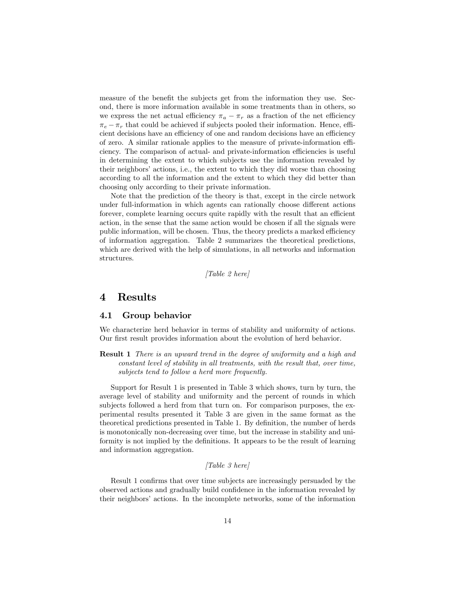measure of the benefit the subjects get from the information they use. Second, there is more information available in some treatments than in others, so we express the net actual efficiency  $\pi_a - \pi_r$  as a fraction of the net efficiency  $\pi_e - \pi_r$  that could be achieved if subjects pooled their information. Hence, efficient decisions have an efficiency of one and random decisions have an efficiency of zero. A similar rationale applies to the measure of private-information efficiency. The comparison of actual- and private-information efficiencies is useful in determining the extent to which subjects use the information revealed by their neighbors' actions, i.e., the extent to which they did worse than choosing according to all the information and the extent to which they did better than choosing only according to their private information.

Note that the prediction of the theory is that, except in the circle network under full-information in which agents can rationally choose different actions forever, complete learning occurs quite rapidly with the result that an efficient action, in the sense that the same action would be chosen if all the signals were public information, will be chosen. Thus, the theory predicts a marked efficiency of information aggregation. Table 2 summarizes the theoretical predictions, which are derived with the help of simulations, in all networks and information structures.

[Table 2 here]

### 4 Results

#### 4.1 Group behavior

We characterize herd behavior in terms of stability and uniformity of actions. Our first result provides information about the evolution of herd behavior.

Result 1 There is an upward trend in the degree of uniformity and a high and constant level of stability in all treatments, with the result that, over time, subjects tend to follow a herd more frequently.

Support for Result 1 is presented in Table 3 which shows, turn by turn, the average level of stability and uniformity and the percent of rounds in which subjects followed a herd from that turn on. For comparison purposes, the experimental results presented it Table 3 are given in the same format as the theoretical predictions presented in Table 1. By definition, the number of herds is monotonically non-decreasing over time, but the increase in stability and uniformity is not implied by the definitions. It appears to be the result of learning and information aggregation.

#### [Table 3 here]

Result 1 confirms that over time subjects are increasingly persuaded by the observed actions and gradually build confidence in the information revealed by their neighbors' actions. In the incomplete networks, some of the information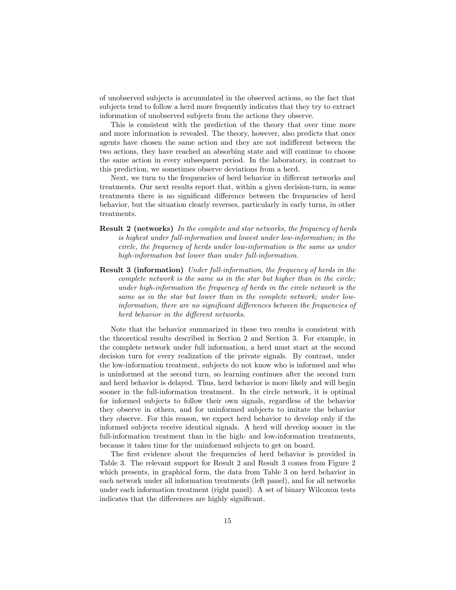of unobserved subjects is accumulated in the observed actions, so the fact that subjects tend to follow a herd more frequently indicates that they try to extract information of unobserved subjects from the actions they observe.

This is consistent with the prediction of the theory that over time more and more information is revealed. The theory, however, also predicts that once agents have chosen the same action and they are not indifferent between the two actions, they have reached an absorbing state and will continue to choose the same action in every subsequent period. In the laboratory, in contrast to this prediction, we sometimes observe deviations from a herd.

Next, we turn to the frequencies of herd behavior in different networks and treatments. Our next results report that, within a given decision-turn, in some treatments there is no significant difference between the frequencies of herd behavior, but the situation clearly reverses, particularly in early turns, in other treatments.

- Result 2 (networks) In the complete and star networks, the frequency of herds is highest under full-information and lowest under low-information; in the circle, the frequency of herds under low-information is the same as under high-information but lower than under full-information.
- Result 3 (information) Under full-information, the frequency of herds in the complete network is the same as in the star but higher than in the circle; under high-information the frequency of herds in the circle network is the same as in the star but lower than in the complete network; under lowinformation, there are no significant differences between the frequencies of herd behavior in the different networks.

Note that the behavior summarized in these two results is consistent with the theoretical results described in Section 2 and Section 3. For example, in the complete network under full information, a herd must start at the second decision turn for every realization of the private signals. By contrast, under the low-information treatment, subjects do not know who is informed and who is uninformed at the second turn, so learning continues after the second turn and herd behavior is delayed. Thus, herd behavior is more likely and will begin sooner in the full-information treatment. In the circle network, it is optimal for informed subjects to follow their own signals, regardless of the behavior they observe in others, and for uninformed subjects to imitate the behavior they observe. For this reason, we expect herd behavior to develop only if the informed subjects receive identical signals. A herd will develop sooner in the full-information treatment than in the high- and low-information treatments, because it takes time for the uninformed subjects to get on board.

The first evidence about the frequencies of herd behavior is provided in Table 3. The relevant support for Result 2 and Result 3 comes from Figure 2 which presents, in graphical form, the data from Table 3 on herd behavior in each network under all information treatments (left panel), and for all networks under each information treatment (right panel). A set of binary Wilcoxon tests indicates that the differences are highly significant.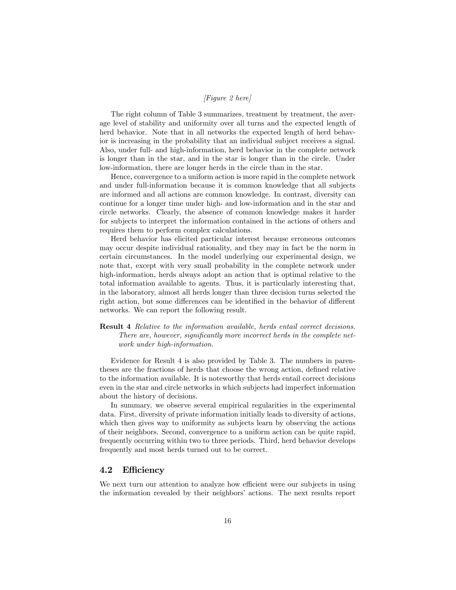#### [Figure 2 here]

The right column of Table 3 summarizes, treatment by treatment, the average level of stability and uniformity over all turns and the expected length of herd behavior. Note that in all networks the expected length of herd behavior is increasing in the probability that an individual subject receives a signal. Also, under full- and high-information, herd behavior in the complete network is longer than in the star, and in the star is longer than in the circle. Under low-information, there are longer herds in the circle than in the star.

Hence, convergence to a uniform action is more rapid in the complete network and under full-information because it is common knowledge that all subjects are informed and all actions are common knowledge. In contrast, diversity can continue for a longer time under high- and low-information and in the star and circle networks. Clearly, the absence of common knowledge makes it harder for subjects to interpret the information contained in the actions of others and requires them to perform complex calculations.

Herd behavior has elicited particular interest because erroneous outcomes may occur despite individual rationality, and they may in fact be the norm in certain circumstances. In the model underlying our experimental design, we note that, except with very small probability in the complete network under high-information, herds always adopt an action that is optimal relative to the total information available to agents. Thus, it is particularly interesting that, in the laboratory, almost all herds longer than three decision turns selected the right action, but some differences can be identified in the behavior of different networks. We can report the following result.

#### Result 4 Relative to the information available, herds entail correct decisions. There are, however, significantly more incorrect herds in the complete network under high-information.

Evidence for Result 4 is also provided by Table 3. The numbers in parentheses are the fractions of herds that choose the wrong action, defined relative to the information available. It is noteworthy that herds entail correct decisions even in the star and circle networks in which subjects had imperfect information about the history of decisions.

In summary, we observe several empirical regularities in the experimental data. First, diversity of private information initially leads to diversity of actions, which then gives way to uniformity as subjects learn by observing the actions of their neighbors. Second, convergence to a uniform action can be quite rapid, frequently occurring within two to three periods. Third, herd behavior develops frequently and most herds turned out to be correct.

#### 4.2 Efficiency

We next turn our attention to analyze how efficient were our subjects in using the information revealed by their neighbors' actions. The next results report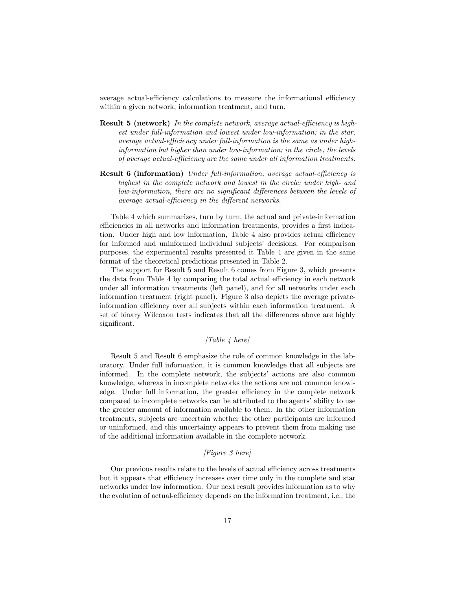average actual-efficiency calculations to measure the informational efficiency within a given network, information treatment, and turn.

- Result 5 (network) In the complete network, average actual-efficiency is highest under full-information and lowest under low-information; in the star, average actual-efficiency under full-information is the same as under highinformation but higher than under low-information; in the circle, the levels of average actual-efficiency are the same under all information treatments.
- Result 6 (information) Under full-information, average actual-efficiency is highest in the complete network and lowest in the circle; under high- and low-information, there are no significant differences between the levels of average actual-efficiency in the different networks.

Table 4 which summarizes, turn by turn, the actual and private-information efficiencies in all networks and information treatments, provides a first indication. Under high and low information, Table 4 also provides actual efficiency for informed and uninformed individual subjects' decisions. For comparison purposes, the experimental results presented it Table 4 are given in the same format of the theoretical predictions presented in Table 2.

The support for Result 5 and Result 6 comes from Figure 3, which presents the data from Table 4 by comparing the total actual efficiency in each network under all information treatments (left panel), and for all networks under each information treatment (right panel). Figure 3 also depicts the average privateinformation efficiency over all subjects within each information treatment. A set of binary Wilcoxon tests indicates that all the differences above are highly significant.

#### $[Table 4 here]$

Result 5 and Result 6 emphasize the role of common knowledge in the laboratory. Under full information, it is common knowledge that all subjects are informed. In the complete network, the subjects' actions are also common knowledge, whereas in incomplete networks the actions are not common knowledge. Under full information, the greater efficiency in the complete network compared to incomplete networks can be attributed to the agents' ability to use the greater amount of information available to them. In the other information treatments, subjects are uncertain whether the other participants are informed or uninformed, and this uncertainty appears to prevent them from making use of the additional information available in the complete network.

#### [Figure 3 here]

Our previous results relate to the levels of actual efficiency across treatments but it appears that efficiency increases over time only in the complete and star networks under low information. Our next result provides information as to why the evolution of actual-efficiency depends on the information treatment, i.e., the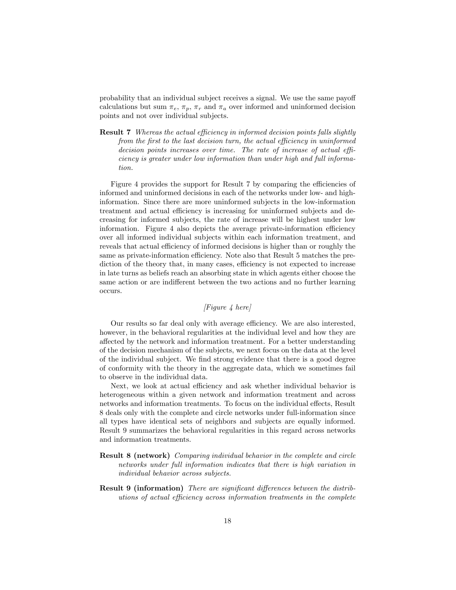probability that an individual subject receives a signal. We use the same payoff calculations but sum  $\pi_e$ ,  $\pi_p$ ,  $\pi_r$  and  $\pi_a$  over informed and uninformed decision points and not over individual subjects.

Result 7 Whereas the actual efficiency in informed decision points falls slightly from the first to the last decision turn, the actual efficiency in uninformed decision points increases over time. The rate of increase of actual efficiency is greater under low information than under high and full information.

Figure 4 provides the support for Result 7 by comparing the efficiencies of informed and uninformed decisions in each of the networks under low- and highinformation. Since there are more uninformed subjects in the low-information treatment and actual efficiency is increasing for uninformed subjects and decreasing for informed subjects, the rate of increase will be highest under low information. Figure 4 also depicts the average private-information efficiency over all informed individual subjects within each information treatment, and reveals that actual efficiency of informed decisions is higher than or roughly the same as private-information efficiency. Note also that Result 5 matches the prediction of the theory that, in many cases, efficiency is not expected to increase in late turns as beliefs reach an absorbing state in which agents either choose the same action or are indifferent between the two actions and no further learning occurs.

### $[Figure 4 here]$

Our results so far deal only with average efficiency. We are also interested, however, in the behavioral regularities at the individual level and how they are affected by the network and information treatment. For a better understanding of the decision mechanism of the subjects, we next focus on the data at the level of the individual subject. We find strong evidence that there is a good degree of conformity with the theory in the aggregate data, which we sometimes fail to observe in the individual data.

Next, we look at actual efficiency and ask whether individual behavior is heterogeneous within a given network and information treatment and across networks and information treatments. To focus on the individual effects, Result 8 deals only with the complete and circle networks under full-information since all types have identical sets of neighbors and subjects are equally informed. Result 9 summarizes the behavioral regularities in this regard across networks and information treatments.

- Result 8 (network) Comparing individual behavior in the complete and circle networks under full information indicates that there is high variation in individual behavior across subjects.
- Result 9 (information) There are significant differences between the distributions of actual efficiency across information treatments in the complete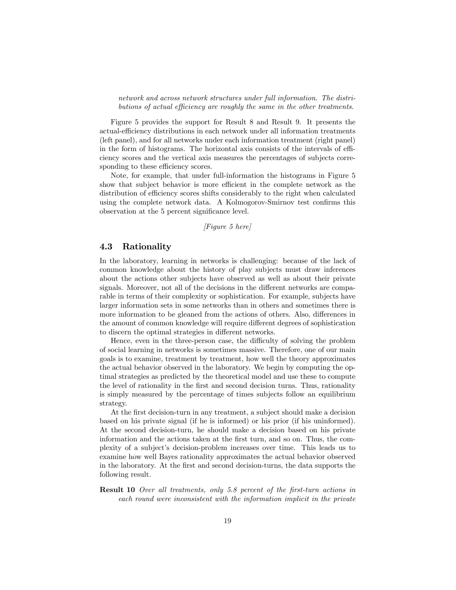network and across network structures under full information. The distributions of actual efficiency are roughly the same in the other treatments.

Figure 5 provides the support for Result 8 and Result 9. It presents the actual-efficiency distributions in each network under all information treatments (left panel), and for all networks under each information treatment (right panel) in the form of histograms. The horizontal axis consists of the intervals of efficiency scores and the vertical axis measures the percentages of subjects corresponding to these efficiency scores.

Note, for example, that under full-information the histograms in Figure 5 show that subject behavior is more efficient in the complete network as the distribution of efficiency scores shifts considerably to the right when calculated using the complete network data. A Kolmogorov-Smirnov test confirms this observation at the 5 percent significance level.

[Figure 5 here]

#### 4.3 Rationality

In the laboratory, learning in networks is challenging: because of the lack of common knowledge about the history of play subjects must draw inferences about the actions other subjects have observed as well as about their private signals. Moreover, not all of the decisions in the different networks are comparable in terms of their complexity or sophistication. For example, subjects have larger information sets in some networks than in others and sometimes there is more information to be gleaned from the actions of others. Also, differences in the amount of common knowledge will require different degrees of sophistication to discern the optimal strategies in different networks.

Hence, even in the three-person case, the difficulty of solving the problem of social learning in networks is sometimes massive. Therefore, one of our main goals is to examine, treatment by treatment, how well the theory approximates the actual behavior observed in the laboratory. We begin by computing the optimal strategies as predicted by the theoretical model and use these to compute the level of rationality in the first and second decision turns. Thus, rationality is simply measured by the percentage of times subjects follow an equilibrium strategy.

At the first decision-turn in any treatment, a subject should make a decision based on his private signal (if he is informed) or his prior (if his uninformed). At the second decision-turn, he should make a decision based on his private information and the actions taken at the first turn, and so on. Thus, the complexity of a subject's decision-problem increases over time. This leads us to examine how well Bayes rationality approximates the actual behavior observed in the laboratory. At the first and second decision-turns, the data supports the following result.

Result 10 Over all treatments, only 5.8 percent of the first-turn actions in each round were inconsistent with the information implicit in the private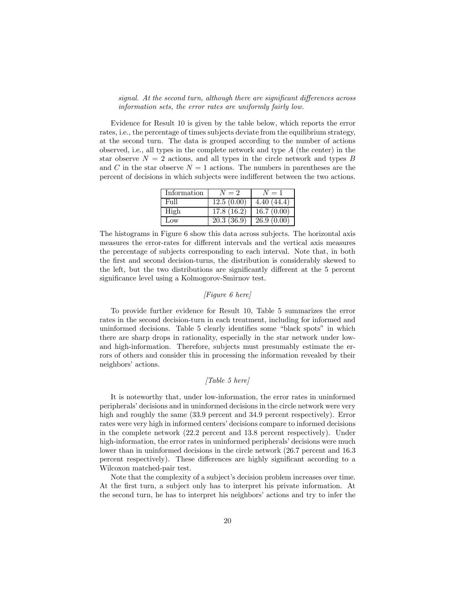#### signal. At the second turn, although there are significant differences across information sets, the error rates are uniformly fairly low.

Evidence for Result 10 is given by the table below, which reports the error rates, i.e., the percentage of times subjects deviate from the equilibrium strategy, at the second turn. The data is grouped according to the number of actions observed, i.e., all types in the complete network and type  $A$  (the center) in the star observe  $N = 2$  actions, and all types in the circle network and types B and C in the star observe  $N = 1$  actions. The numbers in parentheses are the percent of decisions in which subjects were indifferent between the two actions.

| Information | $N=2$      | $N=1$      |
|-------------|------------|------------|
| $FU$ ll     | 12.5(0.00) | 4.40(44.4) |
| High        | 17.8(16.2) | 16.7(0.00) |
| Low         | 20.3(36.9) | 26.9(0.00) |

The histograms in Figure 6 show this data across subjects. The horizontal axis measures the error-rates for different intervals and the vertical axis measures the percentage of subjects corresponding to each interval. Note that, in both the first and second decision-turns, the distribution is considerably skewed to the left, but the two distributions are significantly different at the 5 percent significance level using a Kolmogorov-Smirnov test.

#### [Figure 6 here]

To provide further evidence for Result 10, Table 5 summarizes the error rates in the second decision-turn in each treatment, including for informed and uninformed decisions. Table 5 clearly identifies some "black spots" in which there are sharp drops in rationality, especially in the star network under lowand high-information. Therefore, subjects must presumably estimate the errors of others and consider this in processing the information revealed by their neighbors' actions.

#### [Table 5 here]

It is noteworthy that, under low-information, the error rates in uninformed peripherals' decisions and in uninformed decisions in the circle network were very high and roughly the same (33.9 percent and 34.9 percent respectively). Error rates were very high in informed centers' decisions compare to informed decisions in the complete network (22.2 percent and 13.8 percent respectively). Under high-information, the error rates in uninformed peripherals' decisions were much lower than in uninformed decisions in the circle network (26.7 percent and 16.3 percent respectively). These differences are highly significant according to a Wilcoxon matched-pair test.

Note that the complexity of a subject's decision problem increases over time. At the first turn, a subject only has to interpret his private information. At the second turn, he has to interpret his neighbors' actions and try to infer the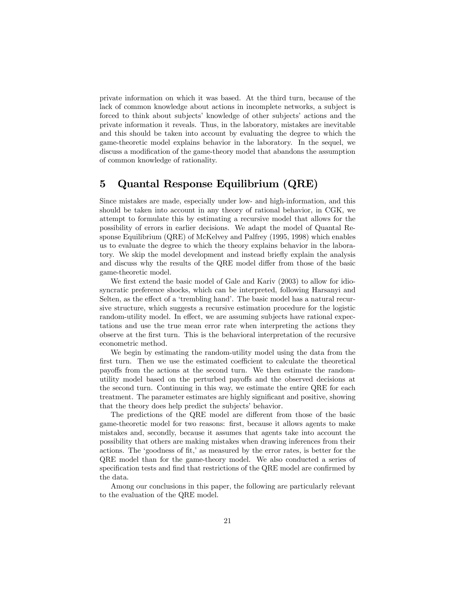private information on which it was based. At the third turn, because of the lack of common knowledge about actions in incomplete networks, a subject is forced to think about subjects' knowledge of other subjects' actions and the private information it reveals. Thus, in the laboratory, mistakes are inevitable and this should be taken into account by evaluating the degree to which the game-theoretic model explains behavior in the laboratory. In the sequel, we discuss a modification of the game-theory model that abandons the assumption of common knowledge of rationality.

# 5 Quantal Response Equilibrium (QRE)

Since mistakes are made, especially under low- and high-information, and this should be taken into account in any theory of rational behavior, in CGK, we attempt to formulate this by estimating a recursive model that allows for the possibility of errors in earlier decisions. We adapt the model of Quantal Response Equilibrium (QRE) of McKelvey and Palfrey (1995, 1998) which enables us to evaluate the degree to which the theory explains behavior in the laboratory. We skip the model development and instead briefly explain the analysis and discuss why the results of the QRE model differ from those of the basic game-theoretic model.

We first extend the basic model of Gale and Kariv (2003) to allow for idiosyncratic preference shocks, which can be interpreted, following Harsanyi and Selten, as the effect of a 'trembling hand'. The basic model has a natural recursive structure, which suggests a recursive estimation procedure for the logistic random-utility model. In effect, we are assuming subjects have rational expectations and use the true mean error rate when interpreting the actions they observe at the first turn. This is the behavioral interpretation of the recursive econometric method.

We begin by estimating the random-utility model using the data from the first turn. Then we use the estimated coefficient to calculate the theoretical payoffs from the actions at the second turn. We then estimate the randomutility model based on the perturbed payoffs and the observed decisions at the second turn. Continuing in this way, we estimate the entire QRE for each treatment. The parameter estimates are highly significant and positive, showing that the theory does help predict the subjects' behavior.

The predictions of the QRE model are different from those of the basic game-theoretic model for two reasons: first, because it allows agents to make mistakes and, secondly, because it assumes that agents take into account the possibility that others are making mistakes when drawing inferences from their actions. The 'goodness of fit,' as measured by the error rates, is better for the QRE model than for the game-theory model. We also conducted a series of specification tests and find that restrictions of the QRE model are confirmed by the data.

Among our conclusions in this paper, the following are particularly relevant to the evaluation of the QRE model.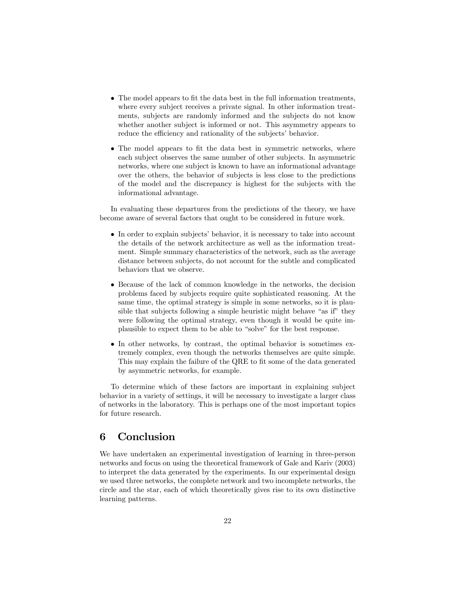- The model appears to fit the data best in the full information treatments, where every subject receives a private signal. In other information treatments, subjects are randomly informed and the subjects do not know whether another subject is informed or not. This asymmetry appears to reduce the efficiency and rationality of the subjects' behavior.
- The model appears to fit the data best in symmetric networks, where each subject observes the same number of other subjects. In asymmetric networks, where one subject is known to have an informational advantage over the others, the behavior of subjects is less close to the predictions of the model and the discrepancy is highest for the subjects with the informational advantage.

In evaluating these departures from the predictions of the theory, we have become aware of several factors that ought to be considered in future work.

- In order to explain subjects' behavior, it is necessary to take into account the details of the network architecture as well as the information treatment. Simple summary characteristics of the network, such as the average distance between subjects, do not account for the subtle and complicated behaviors that we observe.
- Because of the lack of common knowledge in the networks, the decision problems faced by subjects require quite sophisticated reasoning. At the same time, the optimal strategy is simple in some networks, so it is plausible that subjects following a simple heuristic might behave "as if" they were following the optimal strategy, even though it would be quite implausible to expect them to be able to "solve" for the best response.
- In other networks, by contrast, the optimal behavior is sometimes extremely complex, even though the networks themselves are quite simple. This may explain the failure of the QRE to fit some of the data generated by asymmetric networks, for example.

To determine which of these factors are important in explaining subject behavior in a variety of settings, it will be necessary to investigate a larger class of networks in the laboratory. This is perhaps one of the most important topics for future research.

# 6 Conclusion

We have undertaken an experimental investigation of learning in three-person networks and focus on using the theoretical framework of Gale and Kariv (2003) to interpret the data generated by the experiments. In our experimental design we used three networks, the complete network and two incomplete networks, the circle and the star, each of which theoretically gives rise to its own distinctive learning patterns.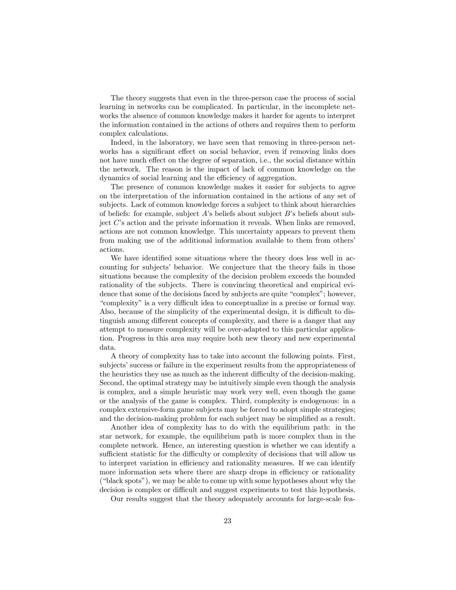The theory suggests that even in the three-person case the process of social learning in networks can be complicated. In particular, in the incomplete networks the absence of common knowledge makes it harder for agents to interpret the information contained in the actions of others and requires them to perform complex calculations.

Indeed, in the laboratory, we have seen that removing in three-person networks has a significant effect on social behavior, even if removing links does not have much effect on the degree of separation, i.e., the social distance within the network. The reason is the impact of lack of common knowledge on the dynamics of social learning and the efficiency of aggregation.

The presence of common knowledge makes it easier for subjects to agree on the interpretation of the information contained in the actions of any set of subjects. Lack of common knowledge forces a subject to think about hierarchies of beliefs: for example, subject  $A$ 's beliefs about subject  $B$ 's beliefs about subject C's action and the private information it reveals. When links are removed, actions are not common knowledge. This uncertainty appears to prevent them from making use of the additional information available to them from others' actions.

We have identified some situations where the theory does less well in accounting for subjects' behavior. We conjecture that the theory fails in those situations because the complexity of the decision problem exceeds the bounded rationality of the subjects. There is convincing theoretical and empirical evidence that some of the decisions faced by subjects are quite "complex"; however, "complexity" is a very difficult idea to conceptualize in a precise or formal way. Also, because of the simplicity of the experimental design, it is difficult to distinguish among different concepts of complexity, and there is a danger that any attempt to measure complexity will be over-adapted to this particular application. Progress in this area may require both new theory and new experimental data.

A theory of complexity has to take into account the following points. First, subjects' success or failure in the experiment results from the appropriateness of the heuristics they use as much as the inherent difficulty of the decision-making. Second, the optimal strategy may be intuitively simple even though the analysis is complex, and a simple heuristic may work very well, even though the game or the analysis of the game is complex. Third, complexity is endogenous: in a complex extensive-form game subjects may be forced to adopt simple strategies; and the decision-making problem for each subject may be simplified as a result.

Another idea of complexity has to do with the equilibrium path: in the star network, for example, the equilibrium path is more complex than in the complete network. Hence, an interesting question is whether we can identify a sufficient statistic for the difficulty or complexity of decisions that will allow us to interpret variation in efficiency and rationality measures. If we can identify more information sets where there are sharp drops in efficiency or rationality ("black spots"), we may be able to come up with some hypotheses about why the decision is complex or difficult and suggest experiments to test this hypothesis.

Our results suggest that the theory adequately accounts for large-scale fea-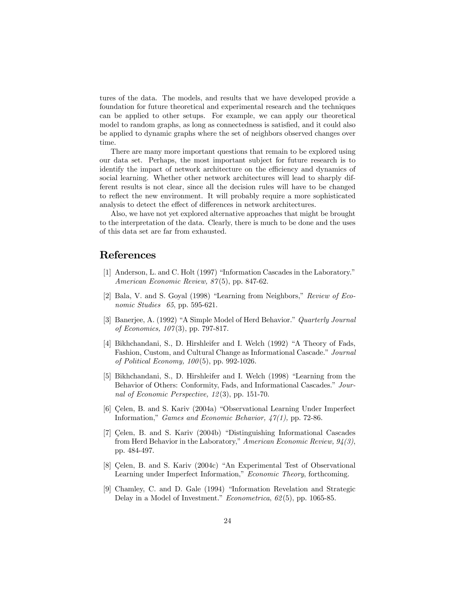tures of the data. The models, and results that we have developed provide a foundation for future theoretical and experimental research and the techniques can be applied to other setups. For example, we can apply our theoretical model to random graphs, as long as connectedness is satisfied, and it could also be applied to dynamic graphs where the set of neighbors observed changes over time.

There are many more important questions that remain to be explored using our data set. Perhaps, the most important subject for future research is to identify the impact of network architecture on the efficiency and dynamics of social learning. Whether other network architectures will lead to sharply different results is not clear, since all the decision rules will have to be changed to reflect the new environment. It will probably require a more sophisticated analysis to detect the effect of differences in network architectures.

Also, we have not yet explored alternative approaches that might be brought to the interpretation of the data. Clearly, there is much to be done and the uses of this data set are far from exhausted.

# References

- [1] Anderson, L. and C. Holt (1997) "Information Cascades in the Laboratory." American Economic Review,  $87(5)$ , pp. 847-62.
- [2] Bala, V. and S. Goyal (1998) "Learning from Neighbors," Review of Economic Studies 65, pp. 595-621.
- [3] Banerjee, A. (1992) "A Simple Model of Herd Behavior." Quarterly Journal of Economics, 107(3), pp. 797-817.
- [4] Bikhchandani, S., D. Hirshleifer and I. Welch (1992) "A Theory of Fads, Fashion, Custom, and Cultural Change as Informational Cascade." Journal of Political Economy,  $100(5)$ , pp. 992-1026.
- [5] Bikhchandani, S., D. Hirshleifer and I. Welch (1998) "Learning from the Behavior of Others: Conformity, Fads, and Informational Cascades." Journal of Economic Perspective, 12(3), pp. 151-70.
- [6] Çelen, B. and S. Kariv (2004a) "Observational Learning Under Imperfect Information," Games and Economic Behavior, 47(1), pp. 72-86.
- [7] Çelen, B. and S. Kariv (2004b) "Distinguishing Informational Cascades from Herd Behavior in the Laboratory," American Economic Review, 94(3), pp. 484-497.
- [8] Çelen, B. and S. Kariv (2004c) "An Experimental Test of Observational Learning under Imperfect Information," Economic Theory, forthcoming.
- [9] Chamley, C. and D. Gale (1994) "Information Revelation and Strategic Delay in a Model of Investment." Econometrica, 62(5), pp. 1065-85.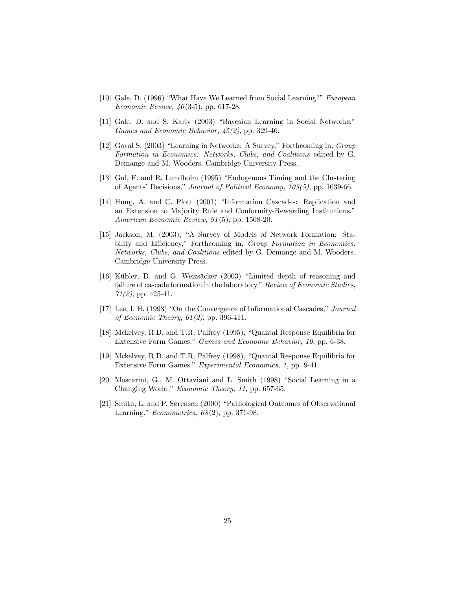- [10] Gale, D. (1996) "What Have We Learned from Social Learning?" European Economic Review,  $40(3-5)$ , pp. 617-28.
- [11] Gale, D. and S. Kariv (2003) "Bayesian Learning in Social Networks." Games and Economic Behavior, 45(2), pp. 329-46.
- [12] Goyal S. (2003) "Learning in Networks: A Survey," Forthcoming in, Group Formation in Economics: Networks, Clubs, and Coalitions edited by G. Demange and M. Wooders. Cambridge University Press.
- [13] Gul, F. and R. Lundholm (1995) "Endogenous Timing and the Clustering of Agents' Decisions," Journal of Political Economy, 103(5), pp. 1039-66.
- [14] Hung, A. and C. Plott (2001) "Information Cascades: Replication and an Extension to Majority Rule and Conformity-Rewarding Institutions." American Economic Review, 91 (5), pp. 1508-20.
- [15] Jackson, M. (2003), "A Survey of Models of Network Formation: Stability and Efficiency," Forthcoming in, Group Formation in Economics: Networks, Clubs, and Coalitions edited by G. Demange and M. Wooders. Cambridge University Press.
- [16] Kübler, D. and G. Weizsäcker (2003) "Limited depth of reasoning and failure of cascade formation in the laboratory." Review of Economic Studies,  $71(2)$ , pp. 425-41.
- [17] Lee, I. H. (1993) "On the Convergence of Informational Cascades," Journal of Economic Theory, 61(2), pp. 396-411.
- [18] Mckelvey, R.D. and T.R. Palfrey (1995), "Quantal Response Equilibria for Extensive Form Games." Games and Economic Behavior, 10, pp. 6-38.
- [19] Mckelvey, R.D. and T.R. Palfrey (1998), "Quantal Response Equilibria for Extensive Form Games." Experimental Economics, 1, pp. 9-41.
- [20] Moscarini, G., M. Ottaviani and L. Smith (1998) "Social Learning in a Changing World," Economic Theory, 11, pp. 657-65.
- [21] Smith, L. and P. Sørensen (2000) "Pathological Outcomes of Observational Learning." Econometrica,  $68(2)$ , pp. 371-98.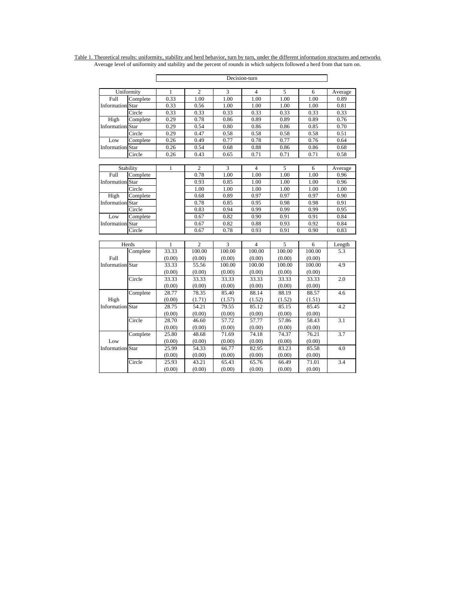| Table 1. Theoretical results: uniformity, stability and herd behavior, turn by turn, under the different information structures and networks |  |  |  |  |  |
|----------------------------------------------------------------------------------------------------------------------------------------------|--|--|--|--|--|
| Average level of uniformity and stability and the percent of rounds in which subjects followed a herd from that turn on.                     |  |  |  |  |  |

|                         |            |              |                | Decision-turn |        |        |        |         |
|-------------------------|------------|--------------|----------------|---------------|--------|--------|--------|---------|
|                         | Uniformity | 1            | $\overline{2}$ | 3             | 4      | 5      | 6      | Average |
| Full                    | Complete   | 0.33         | 1.00           | 1.00          | 1.00   | 1.00   | 1.00   | 0.89    |
| <b>Information Star</b> |            | 0.33         | 0.56           | 1.00          | 1.00   | 1.00   | 1.00   | 0.81    |
|                         | Circle     | 0.33         | 0.33           | 0.33          | 0.33   | 0.33   | 0.33   | 0.33    |
| High                    | Complete   | 0.29         | 0.78           | 0.86          | 0.89   | 0.89   | 0.89   | 0.76    |
| <b>Information Star</b> |            | 0.29         | 0.54           | 0.80          | 0.86   | 0.86   | 0.85   | 0.70    |
|                         | Circle     | 0.29         | 0.47           | 0.58          | 0.58   | 0.58   | 0.58   | 0.51    |
| Low                     | Complete   | 0.26         | 0.49           | 0.77          | 0.78   | 0.77   | 0.76   | 0.64    |
| <b>Information Star</b> |            | 0.26         | 0.54           | 0.68          | 0.88   | 0.86   | 0.86   | 0.68    |
|                         | Circle     | 0.26         | 0.43           | 0.65          | 0.71   | 0.71   | 0.71   | 0.58    |
|                         |            |              |                |               |        |        |        |         |
|                         | Stability  | $\mathbf{1}$ | $\overline{2}$ | 3             | 4      | 5      | 6      | Average |
| Full                    | Complete   |              | 0.78           | 1.00          | 1.00   | 1.00   | 1.00   | 0.96    |
| <b>Information</b> Star |            |              | 0.93           | 0.85          | 1.00   | 1.00   | 1.00   | 0.96    |
|                         | Circle     |              | 1.00           | 1.00          | 1.00   | 1.00   | 1.00   | 1.00    |
| High                    | Complete   |              | 0.68           | 0.89          | 0.97   | 0.97   | 0.97   | 0.90    |
| <b>Information Star</b> |            |              | 0.78           | 0.85          | 0.95   | 0.98   | 0.98   | 0.91    |
|                         | Circle     |              | 0.83           | 0.94          | 0.99   | 0.99   | 0.99   | 0.95    |
| Low                     | Complete   |              | 0.67           | 0.82          | 0.90   | 0.91   | 0.91   | 0.84    |
| <b>Information Star</b> |            |              | 0.67           | 0.82          | 0.88   | 0.93   | 0.92   | 0.84    |
|                         | Circle     |              | 0.67           | 0.78          | 0.93   | 0.91   | 0.90   | 0.83    |
|                         |            |              |                |               |        |        |        |         |
|                         | Herds      | 1            | $\overline{2}$ | 3             | 4      | 5      | 6      | Length  |
|                         | Complete   | 33.33        | 100.00         | 100.00        | 100.00 | 100.00 | 100.00 | 5.3     |
| Full                    |            | (0.00)       | (0.00)         | (0.00)        | (0.00) | (0.00) | (0.00) |         |
| <b>Information</b> Star |            | 33.33        | 55.56          | 100.00        | 100.00 | 100.00 | 100.00 | 4.9     |
|                         |            | (0.00)       | (0.00)         | (0.00)        | (0.00) | (0.00) | (0.00) |         |
|                         | Circle     | 33.33        | 33.33          | 33.33         | 33.33  | 33.33  | 33.33  | 2.0     |
|                         |            | (0.00)       | (0.00)         | (0.00)        | (0.00) | (0.00) | (0.00) |         |
|                         | Complete   | 28.77        | 78.35          | 85.40         | 88.14  | 88.19  | 88.57  | 4.6     |
| High                    |            | (0.00)       | (1.71)         | (1.57)        | (1.52) | (1.52) | (1.51) |         |
| <b>Information Star</b> |            | 28.75        | 54.21          | 79.55         | 85.12  | 85.15  | 85.45  | 4.2     |
|                         |            | (0.00)       | (0.00)         | (0.00)        | (0.00) | (0.00) | (0.00) |         |
|                         | Circle     | 28.70        | 46.60          | 57.72         | 57.77  | 57.86  | 58.43  | 3.1     |
|                         |            | (0.00)       | (0.00)         | (0.00)        | (0.00) | (0.00) | (0.00) |         |
|                         | Complete   | 25.80        | 48.68          | 71.69         | 74.18  | 74.37  | 76.21  | 3.7     |
| Low                     |            | (0.00)       | (0.00)         | (0.00)        | (0.00) | (0.00) | (0.00) |         |
| <b>Information Star</b> |            | 25.99        | 54.33          | 66.77         | 82.95  | 83.23  | 85.58  | 4.0     |
|                         |            | (0.00)       | (0.00)         | (0.00)        | (0.00) | (0.00) | (0.00) |         |
|                         | Circle     | 25.93        | 43.21          | 65.43         | 65.76  | 66.49  | 71.01  | 3.4     |
|                         |            | (0.00)       | (0.00)         | (0.00)        | (0.00) | (0.00) | (0.00) |         |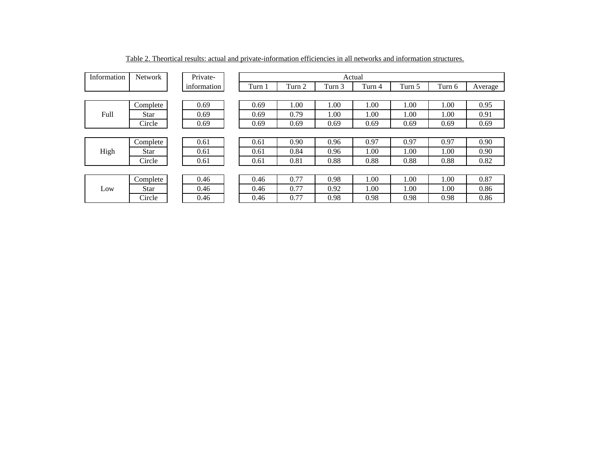| Information | <b>Network</b> | Private-    |        |        |        | Actual |        |        |         |
|-------------|----------------|-------------|--------|--------|--------|--------|--------|--------|---------|
|             |                | information | Turn 1 | Turn 2 | Turn 3 | Turn 4 | Turn 5 | Turn 6 | Average |
|             |                |             |        |        |        |        |        |        |         |
|             | Complete       | 0.69        | 0.69   | 1.00   | 1.00   | 1.00   | 1.00   | 1.00   | 0.95    |
| Full        | <b>Star</b>    | 0.69        | 0.69   | 0.79   | 1.00   | 1.00   | 1.00   | 1.00   | 0.91    |
|             | Circle         | 0.69        | 0.69   | 0.69   | 0.69   | 0.69   | 0.69   | 0.69   | 0.69    |
|             |                |             |        |        |        |        |        |        |         |
|             | Complete       | 0.61        | 0.61   | 0.90   | 0.96   | 0.97   | 0.97   | 0.97   | 0.90    |
| High        | <b>Star</b>    | 0.61        | 0.61   | 0.84   | 0.96   | 1.00   | 1.00   | 1.00   | 0.90    |
|             | Circle         | 0.61        | 0.61   | 0.81   | 0.88   | 0.88   | 0.88   | 0.88   | 0.82    |
|             |                |             |        |        |        |        |        |        |         |
|             | Complete       | 0.46        | 0.46   | 0.77   | 0.98   | 1.00   | 1.00   | 1.00   | 0.87    |
| Low         | <b>Star</b>    | 0.46        | 0.46   | 0.77   | 0.92   | 1.00   | 1.00   | 1.00   | 0.86    |
|             | Circle         | 0.46        | 0.46   | 0.77   | 0.98   | 0.98   | 0.98   | 0.98   | 0.86    |

Table 2. Theortical results: actual and private-information efficiencies in all networks and information structures.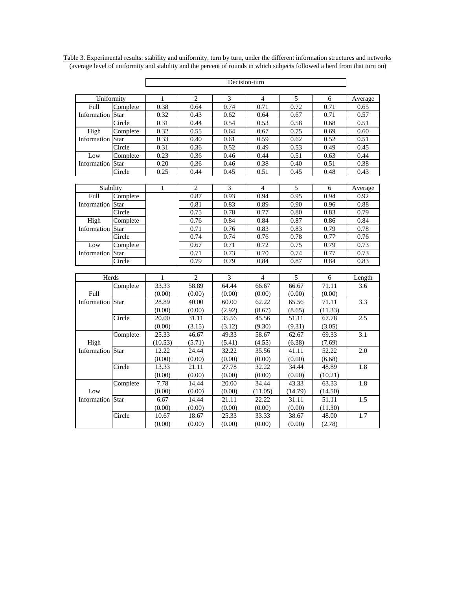|                         |             |              |                 |                 | Decision-turn   |                 |                  |         |
|-------------------------|-------------|--------------|-----------------|-----------------|-----------------|-----------------|------------------|---------|
|                         |             |              |                 |                 |                 |                 |                  |         |
| Uniformity              |             | 1            | $\overline{2}$  | 3               | $\overline{4}$  | 5               | 6                | Average |
| Full                    | Complete    | 0.38         | 0.64            | 0.74            | 0.71            | 0.72            | 0.71             | 0.65    |
| Information             | <b>Star</b> | 0.32         | 0.43            | 0.62            | 0.64            | 0.67            | 0.71             | 0.57    |
|                         | Circle      | 0.31         | 0.44            | 0.54            | 0.53            | 0.58            | 0.68             | 0.51    |
| High                    | Complete    | 0.32         | 0.55            | 0.64            | 0.67            | 0.75            | 0.69             | 0.60    |
| Information             | <b>Star</b> | 0.33         | 0.40            | 0.61            | 0.59            | 0.62            | 0.52             | 0.51    |
|                         | Circle      | 0.31         | 0.36            | 0.52            | 0.49            | 0.53            | 0.49             | 0.45    |
| Low                     | Complete    | 0.23         | 0.36            | 0.46            | 0.44            | 0.51            | 0.63             | 0.44    |
| Information Star        |             | 0.20         | 0.36            | 0.46            | 0.38            | 0.40            | 0.51             | 0.38    |
|                         | Circle      | 0.25         | 0.44            | 0.45            | 0.51            | 0.45            | 0.48             | 0.43    |
|                         |             |              |                 |                 |                 |                 |                  |         |
| Stability               |             | $\mathbf{1}$ | $\overline{2}$  | 3               | $\overline{4}$  | 5               | 6                | Average |
| Full                    | Complete    |              | 0.87            | 0.93            | 0.94            | 0.95            | 0.94             | 0.92    |
| Information             | <b>Star</b> |              | 0.81            | 0.83            | 0.89            | 0.90            | 0.96             | 0.88    |
|                         | Circle      |              | 0.75            | 0.78            | 0.77            | 0.80            | 0.83             | 0.79    |
| High                    | Complete    |              | 0.76            | 0.84            | 0.84            | 0.87            | 0.86             | 0.84    |
| Information Star        |             |              | 0.71            | 0.76            | 0.83            | 0.83            | 0.79             | 0.78    |
|                         | Circle      |              | 0.74            | 0.74            | 0.76            | 0.78            | 0.77             | 0.76    |
| Low                     | Complete    |              | 0.67            | 0.71            | 0.72            | 0.75            | 0.79             | 0.73    |
| <b>Information</b> Star |             |              | 0.71            | 0.73            | 0.70            | 0.74            | 0.77             | 0.73    |
|                         | Circle      |              | 0.79            | 0.79            | 0.84            | 0.87            | 0.84             | 0.83    |
| Herds                   |             | 1            | $\overline{2}$  | $\overline{3}$  | $\overline{4}$  | 5               | $\overline{6}$   | Length  |
|                         | Complete    | 33.33        | 58.89           | 64.44           | 66.67           | 66.67           | 71.11            | 3.6     |
| Full                    |             | (0.00)       | (0.00)          | (0.00)          | (0.00)          | (0.00)          | (0.00)           |         |
| Information             | <b>Star</b> | 28.89        | 40.00           | 60.00           | 62.22           | 65.56           | 71.11            | 3.3     |
|                         |             | (0.00)       | (0.00)          | (2.92)          | (8.67)          | (8.65)          | (11.33)          |         |
|                         | Circle      | 20.00        | 31.11           | 35.56           | 45.56           | 51.11           | 67.78            | 2.5     |
|                         |             | (0.00)       | (3.15)          | (3.12)          | (9.30)          | (9.31)          | (3.05)           |         |
|                         | Complete    | 25.33        | 46.67           | 49.33           | 58.67           | 62.67           | 69.33            | 3.1     |
| High                    |             | (10.53)      | (5.71)          | (5.41)          | (4.55)          | (6.38)          | (7.69)           |         |
| <b>Information</b>      | <b>Star</b> | 12.22        | 24.44           | 32.22           | 35.56           | 41.11           | 52.22            | 2.0     |
|                         |             | (0.00)       | (0.00)          | (0.00)          | (0.00)          | (0.00)          | (6.68)           |         |
|                         | Circle      | 13.33        | 21.11           | 27.78           | 32.22           | 34.44           | 48.89            | 1.8     |
|                         |             | (0.00)       |                 |                 |                 |                 |                  |         |
|                         | Complete    | 7.78         | (0.00)<br>14.44 | (0.00)<br>20.00 | (0.00)<br>34.44 | (0.00)<br>43.33 | (10.21)<br>63.33 | 1.8     |
| Low                     |             | (0.00)       | (0.00)          | (0.00)          | (11.05)         | (14.79)         | (14.50)          |         |
| <b>Information</b>      | Star        | 6.67         | 14.44           | 21.11           | 22.22           | 31.11           | 51.11            | 1.5     |
|                         |             | (0.00)       | (0.00)          | (0.00)          | (0.00)          | (0.00)          | (11.30)          |         |
|                         | Circle      | 10.67        | 18.67           | 25.33           | 33.33           | 38.67           | 48.00            | 1.7     |
|                         |             |              |                 |                 |                 |                 |                  |         |
|                         |             | (0.00)       | (0.00)          | (0.00)          | (0.00)          | (0.00)          | (2.78)           |         |

(average level of uniformity and stability and the percent of rounds in which subjects followed a herd from that turn on) Table 3. Experimental results: stability and uniformity, turn by turn, under the different information structures and networks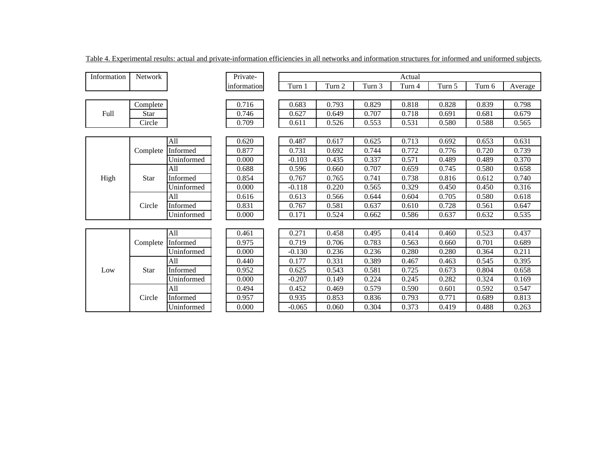| Information | <b>Network</b> |            | Private-    |          |        |        | Actual |        |        |         |
|-------------|----------------|------------|-------------|----------|--------|--------|--------|--------|--------|---------|
|             |                |            | information | Turn 1   | Turn 2 | Turn 3 | Turn 4 | Turn 5 | Turn 6 | Average |
|             |                |            |             |          |        |        |        |        |        |         |
|             | Complete       |            | 0.716       | 0.683    | 0.793  | 0.829  | 0.818  | 0.828  | 0.839  | 0.798   |
| Full        | <b>Star</b>    |            | 0.746       | 0.627    | 0.649  | 0.707  | 0.718  | 0.691  | 0.681  | 0.679   |
|             | Circle         |            | 0.709       | 0.611    | 0.526  | 0.553  | 0.531  | 0.580  | 0.588  | 0.565   |
|             |                |            |             |          |        |        |        |        |        |         |
|             |                | All        | 0.620       | 0.487    | 0.617  | 0.625  | 0.713  | 0.692  | 0.653  | 0.631   |
|             | Complete       | Informed   | 0.877       | 0.731    | 0.692  | 0.744  | 0.772  | 0.776  | 0.720  | 0.739   |
|             |                | Uninformed | 0.000       | $-0.103$ | 0.435  | 0.337  | 0.571  | 0.489  | 0.489  | 0.370   |
|             |                | All        | 0.688       | 0.596    | 0.660  | 0.707  | 0.659  | 0.745  | 0.580  | 0.658   |
| High        | <b>Star</b>    | Informed   | 0.854       | 0.767    | 0.765  | 0.741  | 0.738  | 0.816  | 0.612  | 0.740   |
|             |                | Uninformed | 0.000       | $-0.118$ | 0.220  | 0.565  | 0.329  | 0.450  | 0.450  | 0.316   |
|             |                | All        | 0.616       | 0.613    | 0.566  | 0.644  | 0.604  | 0.705  | 0.580  | 0.618   |
|             | Circle         | Informed   | 0.831       | 0.767    | 0.581  | 0.637  | 0.610  | 0.728  | 0.561  | 0.647   |
|             |                | Uninformed | 0.000       | 0.171    | 0.524  | 0.662  | 0.586  | 0.637  | 0.632  | 0.535   |
|             |                |            |             |          |        |        |        |        |        |         |
|             |                | A11        | 0.461       | 0.271    | 0.458  | 0.495  | 0.414  | 0.460  | 0.523  | 0.437   |
|             | Complete       | Informed   | 0.975       | 0.719    | 0.706  | 0.783  | 0.563  | 0.660  | 0.701  | 0.689   |
|             |                | Uninformed | 0.000       | $-0.130$ | 0.236  | 0.236  | 0.280  | 0.280  | 0.364  | 0.211   |
|             |                | All        | 0.440       | 0.177    | 0.331  | 0.389  | 0.467  | 0.463  | 0.545  | 0.395   |
| Low         | <b>Star</b>    | Informed   | 0.952       | 0.625    | 0.543  | 0.581  | 0.725  | 0.673  | 0.804  | 0.658   |
|             |                | Uninformed | 0.000       | $-0.207$ | 0.149  | 0.224  | 0.245  | 0.282  | 0.324  | 0.169   |
|             |                | All        | 0.494       | 0.452    | 0.469  | 0.579  | 0.590  | 0.601  | 0.592  | 0.547   |
|             | Circle         | Informed   | 0.957       | 0.935    | 0.853  | 0.836  | 0.793  | 0.771  | 0.689  | 0.813   |
|             |                | Uninformed | 0.000       | $-0.065$ | 0.060  | 0.304  | 0.373  | 0.419  | 0.488  | 0.263   |

Table 4. Experimental results: actual and private-information efficiencies in all networks and information structures for informed and uniformed subjects.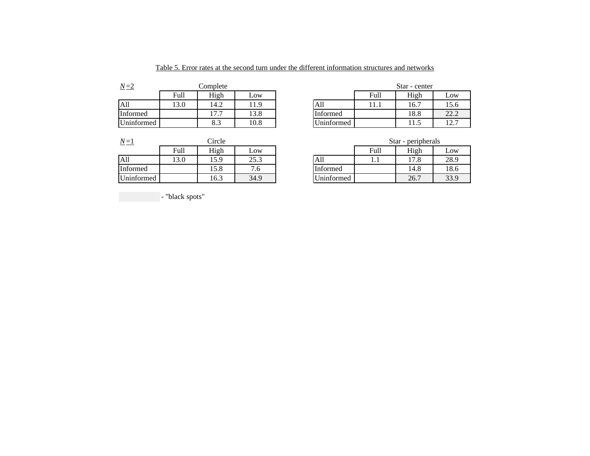Table 5. Error rates at the second turn under the different information structures and networks

| $N=2$      | Complete |            |      |            | Star - center |      |              |
|------------|----------|------------|------|------------|---------------|------|--------------|
|            | Full     | High       | Low  |            | Full          | High | Low          |
| All        | 13.0     | 14.2       | 11.9 | All        |               | 16.7 | 15.6         |
| Informed   |          | 77<br>17.7 | 13.8 | Informed   |               | 18.8 | 22.2         |
| Uninformed |          | 8.3        | 10.8 | Jninformed |               | .    | ר רו<br>14.1 |

|      | <u>Complete</u>  |      |                   |      | $\sim$  |                                       |
|------|------------------|------|-------------------|------|---------|---------------------------------------|
| Full | High             | Low  |                   | Full | High    | Low                                   |
| 13.0 | 14.2             | 1.9  | All               | .    | 16.7    | 15.6                                  |
|      | 77<br>$\sqrt{1}$ | 13.8 | Informed          |      | 18.8    | 22.2                                  |
|      | 8.3              | 10.8 | <b>Jninformed</b> |      | ل ۱۰ تا | 12 <sub>7</sub><br>$1 \overline{2}$ . |
|      |                  |      |                   |      |         |                                       |

| $N=1$      | Circle |      |      |            | Star - peripherals |      |      |
|------------|--------|------|------|------------|--------------------|------|------|
|            | Full   | High | Low  |            | Full               | High | Low  |
| All        | 13.0   | 15.9 | 25.3 | All        |                    | 17.8 | 28.9 |
| Informed   |        | 15.8 | ึ.๒  | Informed   |                    | 14.8 | 18.6 |
| Uninformed |        | 16.3 | 34.9 | Uninformed |                    | 26.7 | 33.9 |

| Star - peripherals |  |  |
|--------------------|--|--|
|                    |  |  |

| Full | High | Low           |            | Full | High | Low  |
|------|------|---------------|------------|------|------|------|
| 13.0 | 15.9 | 252<br>د. د ۲ | All        | .    | 17.8 | 28.9 |
|      | 15.8 | 7.6           | Informed   |      | 14.8 | 18.6 |
|      | 16.3 | 34.9          | Uninformed |      | 26.7 | 33.9 |

- "black spots"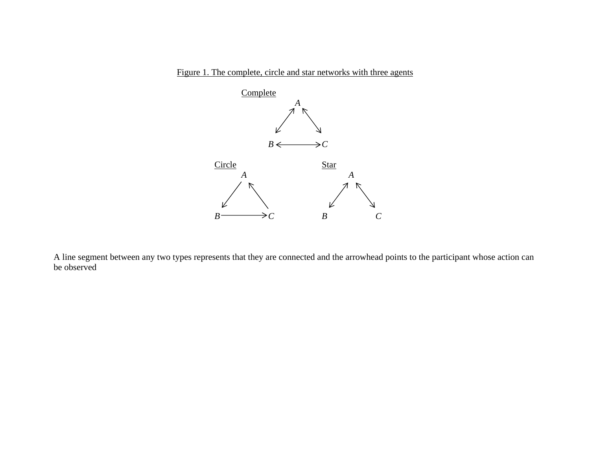Figure 1. The complete, circle and star networks with three agents



A line segment between any two types represents that they are connected and the arrowhead points to the participant whose action can be observed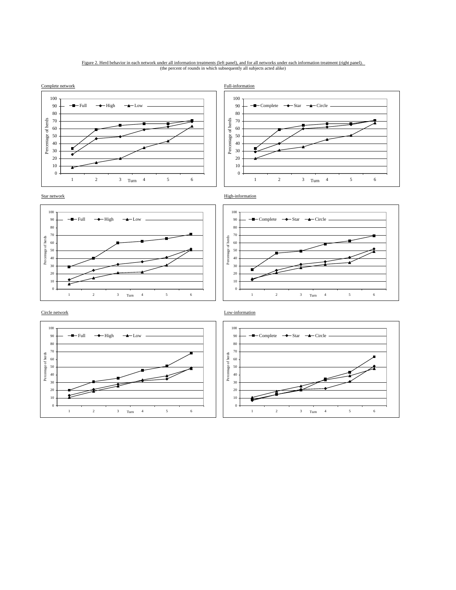

#### Figure 2. Herd behavior in each network under all information treatments (left panel), and for all networks under each information treatment (right panel). (the percent of rounds in which subsequently all subjects acted alike)







Circle network Low-information

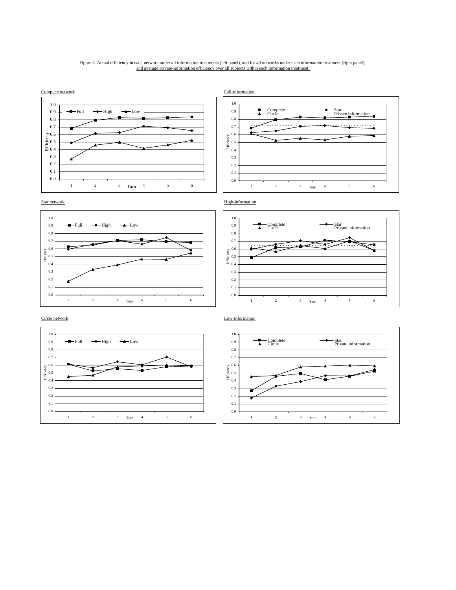











Circle network Low-information

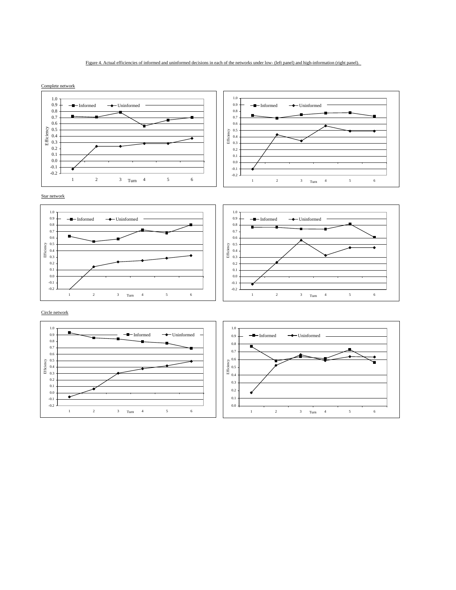

Figure 4. Actual efficiencies of informed and uninformed decisions in each of the networks under low- (left panel) and high-information (right panel).

Star network





Circle network

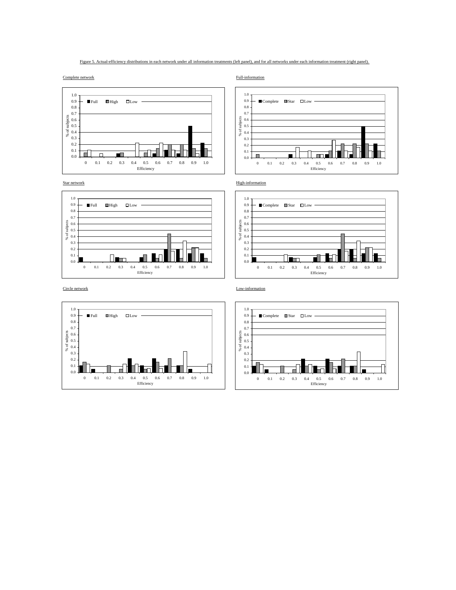



 $_{0.0}$ 0.1 0.2 0.3 0.4 0.5 0.6 0.7 0.8 0.9 1.0

 $\blacksquare$ 

% of subjects







0 0.1 0.2 0.3 0.4 0.5 0.6 0.7 0.8 0.9 1.0 Efficiency

<u>┌┌──────────────────────</u>

 $\mathbb{L}$ 

m

- ■Complete ■Star □Low -

 $\Gamma$ 

 $\blacksquare$ 



Circle network Low-information